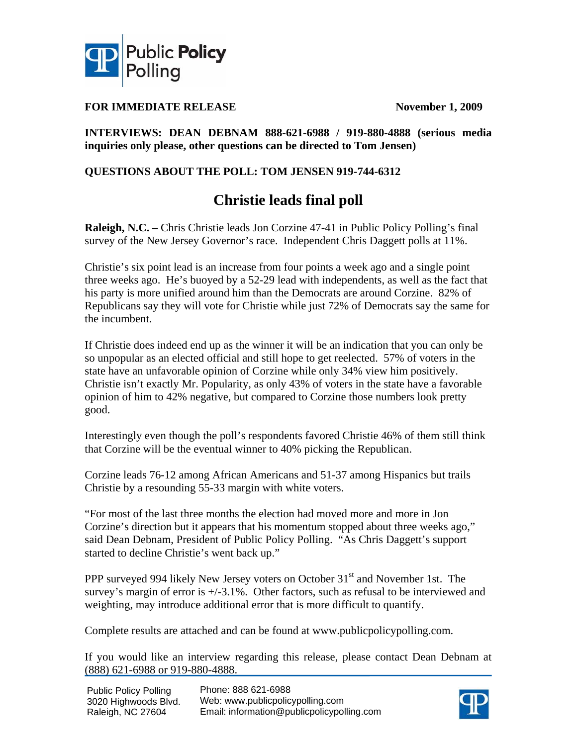

### **FOR IMMEDIATE RELEASE** November 1, 2009

### **INTERVIEWS: DEAN DEBNAM 888-621-6988 / 919-880-4888 (serious media inquiries only please, other questions can be directed to Tom Jensen)**

### **QUESTIONS ABOUT THE POLL: TOM JENSEN 919-744-6312**

## **Christie leads final poll**

**Raleigh, N.C. –** Chris Christie leads Jon Corzine 47-41 in Public Policy Polling's final survey of the New Jersey Governor's race. Independent Chris Daggett polls at 11%.

Christie's six point lead is an increase from four points a week ago and a single point three weeks ago. He's buoyed by a 52-29 lead with independents, as well as the fact that his party is more unified around him than the Democrats are around Corzine. 82% of Republicans say they will vote for Christie while just 72% of Democrats say the same for the incumbent.

If Christie does indeed end up as the winner it will be an indication that you can only be so unpopular as an elected official and still hope to get reelected. 57% of voters in the state have an unfavorable opinion of Corzine while only 34% view him positively. Christie isn't exactly Mr. Popularity, as only 43% of voters in the state have a favorable opinion of him to 42% negative, but compared to Corzine those numbers look pretty good.

Interestingly even though the poll's respondents favored Christie 46% of them still think that Corzine will be the eventual winner to 40% picking the Republican.

Corzine leads 76-12 among African Americans and 51-37 among Hispanics but trails Christie by a resounding 55-33 margin with white voters.

"For most of the last three months the election had moved more and more in Jon Corzine's direction but it appears that his momentum stopped about three weeks ago," said Dean Debnam, President of Public Policy Polling. "As Chris Daggett's support started to decline Christie's went back up."

PPP surveyed 994 likely New Jersey voters on October 31<sup>st</sup> and November 1st. The survey's margin of error is  $+/-3.1\%$ . Other factors, such as refusal to be interviewed and weighting, may introduce additional error that is more difficult to quantify.

Complete results are attached and can be found at www.publicpolicypolling.com.

If you would like an interview regarding this release, please contact Dean Debnam at (888) 621-6988 or 919-880-4888.

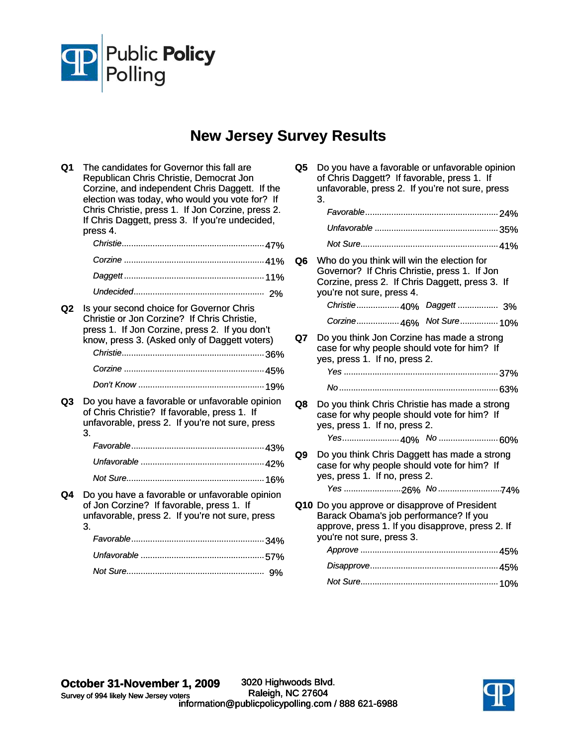

# **New Jersey Survey Results**

| Q1             | The candidates for Governor this fall are<br>Republican Chris Christie, Democrat Jon<br>Corzine, and independent Chris Daggett. If the<br>election was today, who would you vote for? If<br>Chris Christie, press 1. If Jon Corzine, press 2.<br>If Chris Daggett, press 3. If you're undecided, | Q5  | Do you have a favorable or unfavorable opinion<br>of Chris Daggett? If favorable, press 1. If<br>unfavorable, press 2. If you're not sure, press<br>3.                     |
|----------------|--------------------------------------------------------------------------------------------------------------------------------------------------------------------------------------------------------------------------------------------------------------------------------------------------|-----|----------------------------------------------------------------------------------------------------------------------------------------------------------------------------|
|                | press 4.                                                                                                                                                                                                                                                                                         |     |                                                                                                                                                                            |
|                |                                                                                                                                                                                                                                                                                                  |     |                                                                                                                                                                            |
|                |                                                                                                                                                                                                                                                                                                  | Q6. | Who do you think will win the election for<br>Governor? If Chris Christie, press 1. If Jon<br>Corzine, press 2. If Chris Daggett, press 3. If<br>you're not sure, press 4. |
|                |                                                                                                                                                                                                                                                                                                  |     | Christie 40% Daggett  3%                                                                                                                                                   |
| Q <sub>2</sub> | Is your second choice for Governor Chris<br>Christie or Jon Corzine? If Chris Christie,<br>press 1. If Jon Corzine, press 2. If you don't                                                                                                                                                        |     | Corzine 46% Not Sure 10%                                                                                                                                                   |
|                | know, press 3. (Asked only of Daggett voters)                                                                                                                                                                                                                                                    | Q7  | Do you think Jon Corzine has made a strong<br>case for why people should vote for him? If<br>yes, press 1. If no, press 2.                                                 |
|                |                                                                                                                                                                                                                                                                                                  |     |                                                                                                                                                                            |
|                |                                                                                                                                                                                                                                                                                                  |     |                                                                                                                                                                            |
| Q3             | Do you have a favorable or unfavorable opinion<br>of Chris Christie? If favorable, press 1. If<br>unfavorable, press 2. If you're not sure, press<br>3.                                                                                                                                          | Q8  | Do you think Chris Christie has made a strong<br>case for why people should vote for him? If<br>yes, press 1. If no, press 2.                                              |
|                |                                                                                                                                                                                                                                                                                                  | Q9  | Do you think Chris Daggett has made a strong                                                                                                                               |
|                |                                                                                                                                                                                                                                                                                                  |     | case for why people should vote for him? If                                                                                                                                |
|                |                                                                                                                                                                                                                                                                                                  |     | yes, press 1. If no, press 2.                                                                                                                                              |
| Q4             | Do you have a favorable or unfavorable opinion                                                                                                                                                                                                                                                   |     |                                                                                                                                                                            |
|                | of Jon Corzine? If favorable, press 1. If<br>unfavorable, press 2. If you're not sure, press<br>3.                                                                                                                                                                                               |     | Q10 Do you approve or disapprove of President<br>Barack Obama's job performance? If you<br>approve, press 1. If you disapprove, press 2. If                                |
|                |                                                                                                                                                                                                                                                                                                  |     | you're not sure, press 3.                                                                                                                                                  |
|                |                                                                                                                                                                                                                                                                                                  |     |                                                                                                                                                                            |
|                |                                                                                                                                                                                                                                                                                                  |     |                                                                                                                                                                            |
|                |                                                                                                                                                                                                                                                                                                  |     |                                                                                                                                                                            |

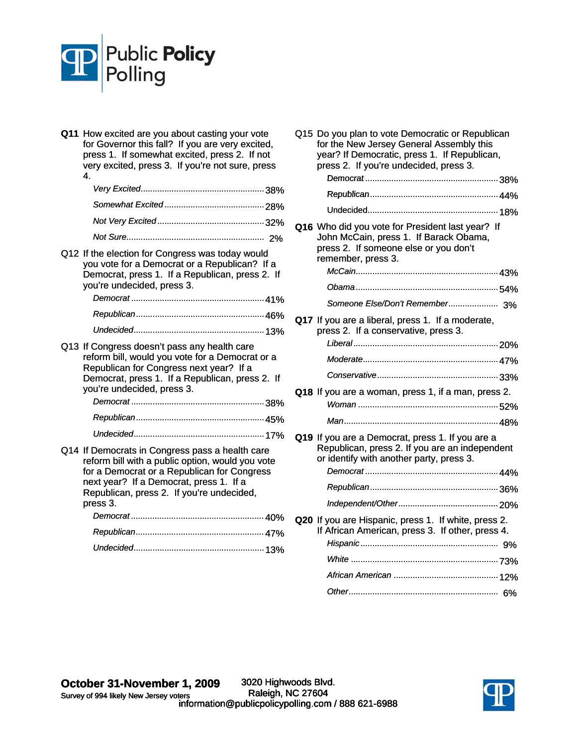

| Q11 How excited are you about casting your vote<br>for Governor this fall? If you are very excited,<br>press 1. If somewhat excited, press 2. If not<br>very excited, press 3. If you're not sure, press<br>4 |
|---------------------------------------------------------------------------------------------------------------------------------------------------------------------------------------------------------------|
|                                                                                                                                                                                                               |
|                                                                                                                                                                                                               |
|                                                                                                                                                                                                               |
|                                                                                                                                                                                                               |
| Q12 If the election for Congress was today would                                                                                                                                                              |

you vote for a Democrat or a Republican? If a Democrat, press 1. If a Republican, press 2. If you're undecided, press 3. *Democrat* ........................................................ 41%

- Q13 If Congress doesn't pass any health care reform bill, would you vote for a Democrat or a Republican for Congress next year? If a Democrat, press 1. If a Republican, press 2. If you're undecided, press 3. *Democrat* ........................................................ 38% *Republican*...................................................... 45%
- *Undecided*....................................................... 17% Q14 If Democrats in Congress pass a health care reform bill with a public option, would you vote for a Democrat or a Republican for Congress next year? If a Democrat, press 1. If a Republican, press 2. If you're undecided, press 3.

| vuu u. |  |
|--------|--|
|        |  |
|        |  |
|        |  |

| Q15 Do you plan to vote Democratic or Republican<br>for the New Jersey General Assembly this<br>year? If Democratic, press 1. If Republican,<br>press 2. If you're undecided, press 3. |
|----------------------------------------------------------------------------------------------------------------------------------------------------------------------------------------|
|                                                                                                                                                                                        |
|                                                                                                                                                                                        |
| Q16 Who did you vote for President last year? If<br>John McCain, press 1. If Barack Obama,<br>press 2. If someone else or you don't<br>remember, press 3.                              |
|                                                                                                                                                                                        |
|                                                                                                                                                                                        |
| Q17 If you are a liberal, press 1. If a moderate,<br>press 2. If a conservative, press 3.                                                                                              |
|                                                                                                                                                                                        |
|                                                                                                                                                                                        |
|                                                                                                                                                                                        |
| Q18 If you are a woman, press 1, if a man, press 2.                                                                                                                                    |
|                                                                                                                                                                                        |
| Q19 If you are a Democrat, press 1. If you are a<br>Republican, press 2. If you are an independent<br>or identify with another party, press 3.                                         |
|                                                                                                                                                                                        |
|                                                                                                                                                                                        |
|                                                                                                                                                                                        |
| Q20 If you are Hispanic, press 1. If white, press 2.<br>If African American, press 3. If other, press 4.                                                                               |
|                                                                                                                                                                                        |
|                                                                                                                                                                                        |
|                                                                                                                                                                                        |

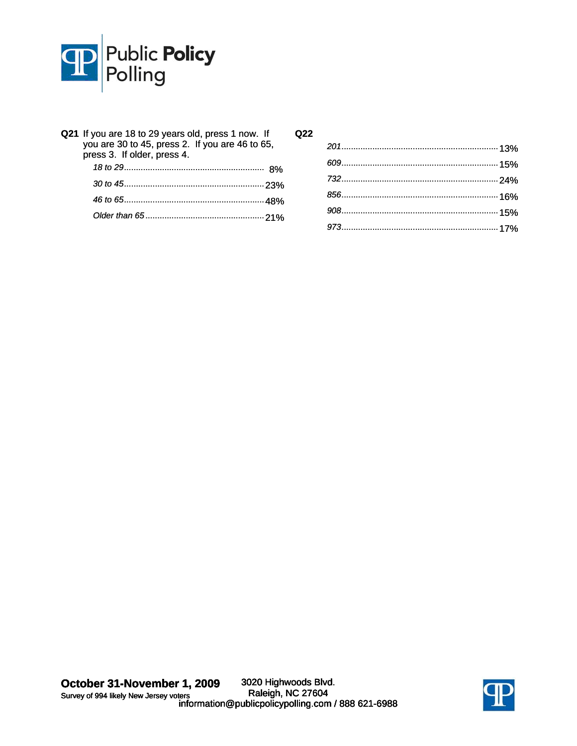

| Q21 If you are 18 to 29 years old, press 1 now. If<br>you are 30 to 45, press 2. If you are 46 to 65,<br>press 3. If older, press 4. |  |
|--------------------------------------------------------------------------------------------------------------------------------------|--|
|                                                                                                                                      |  |
|                                                                                                                                      |  |
|                                                                                                                                      |  |
|                                                                                                                                      |  |
|                                                                                                                                      |  |

**Q22**

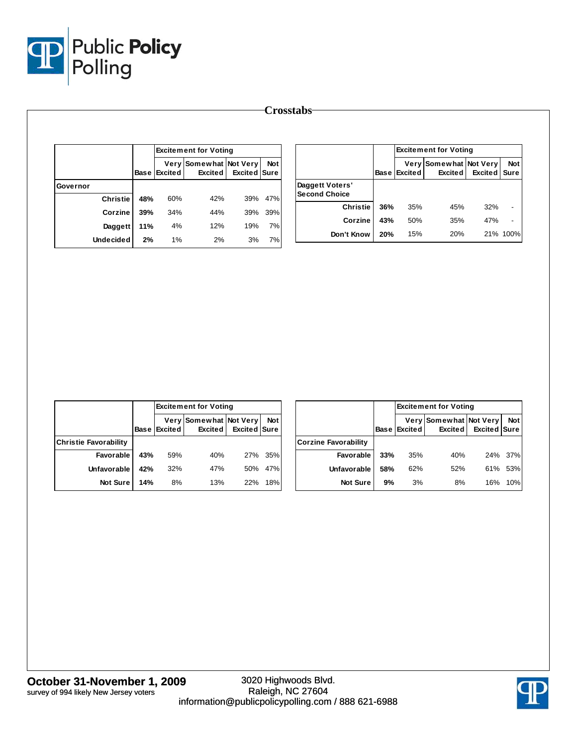

|     |                         |                                                         |                                                |                                                                                                           |                                                             |     |     | <b>Excited Sure</b>                      | <b>Not</b>                                                                      |
|-----|-------------------------|---------------------------------------------------------|------------------------------------------------|-----------------------------------------------------------------------------------------------------------|-------------------------------------------------------------|-----|-----|------------------------------------------|---------------------------------------------------------------------------------|
|     |                         |                                                         |                                                | Daggett Voters'                                                                                           |                                                             |     |     |                                          |                                                                                 |
|     |                         |                                                         |                                                |                                                                                                           |                                                             |     |     |                                          |                                                                                 |
| 34% |                         |                                                         |                                                |                                                                                                           |                                                             |     |     |                                          |                                                                                 |
|     |                         |                                                         |                                                | Corzine                                                                                                   | 43%                                                         |     | 35% | 47%                                      | $\overline{\phantom{a}}$                                                        |
|     | 2%                      |                                                         |                                                | Don't Know                                                                                                | 20%                                                         |     | 20% |                                          | 21% 100%                                                                        |
|     | 48%<br>39%<br>11%<br>2% | <b>Base Excited</b><br>60%<br>42%<br>12%<br>4%<br>$1\%$ | <b>Excitement for Voting</b><br>Excited<br>44% | Very Somewhat Not Very<br><b>Not</b><br>Excited Sure<br>47%<br>39%<br>39%<br>39%<br>19%<br>7%<br>7%<br>3% | <b>Crosstabs</b><br><b>Second Choice</b><br><b>Christie</b> | 36% |     | <b>Base Excited</b><br>35%<br>50%<br>15% | <b>Excitement for Voting</b><br>Very Somewhat Not Very<br>Excited<br>32%<br>45% |

|                              |        |                | <b>Excitement for Voting</b>             |              |       |  |  |  |  |
|------------------------------|--------|----------------|------------------------------------------|--------------|-------|--|--|--|--|
|                              | Base I | <b>Excited</b> | Very Somewhat Not Very<br><b>Excited</b> | Excited Sure | Not I |  |  |  |  |
| <b>Christie Favorability</b> |        |                |                                          |              |       |  |  |  |  |
| Favorable                    | 43%    | 59%            | 40%                                      | 27%          | 35%   |  |  |  |  |
| Unfavorable                  | 42%    | 32%            | 47%                                      | 50%          | 47%   |  |  |  |  |
| <b>Not Sure</b>              | 14%    | 8%             | 13%                                      | 22%          | 18%   |  |  |  |  |

|                             |             | <b>Excitement for Voting</b> |                                   |                     |            |  |  |  |  |
|-----------------------------|-------------|------------------------------|-----------------------------------|---------------------|------------|--|--|--|--|
|                             | <b>Base</b> | Excited                      | Very Somewhat Not Very<br>Excited | <b>Excited Sure</b> | <b>Not</b> |  |  |  |  |
| <b>Corzine Favorability</b> |             |                              |                                   |                     |            |  |  |  |  |
| Favorable                   | 33%         | 35%                          | 40%                               |                     | 24% 37%    |  |  |  |  |
| Unfavorable                 | 58%         | 62%                          | 52%                               | 61%                 | 53%        |  |  |  |  |
| <b>Not Sure</b>             | 9%          | 3%                           | 8%                                | 16%                 | 10%        |  |  |  |  |

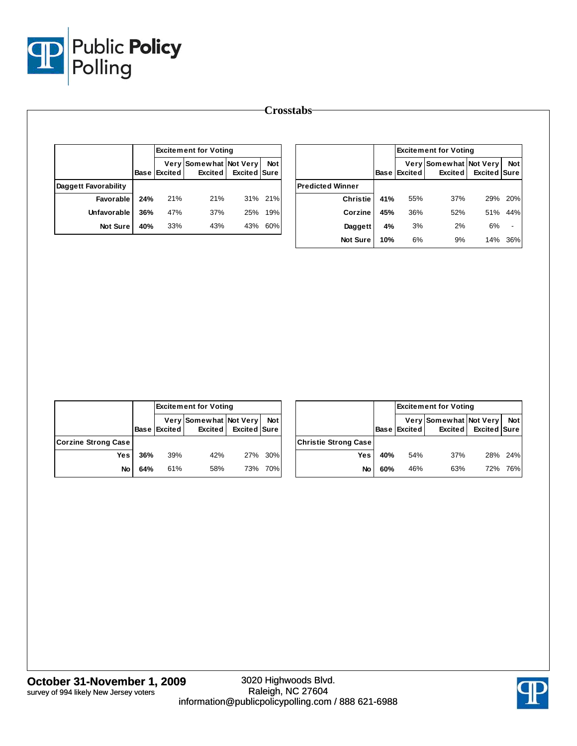

|                             |     |                     | <b>Excitement for Voting</b>      |                     |            |                         |     |                     | <b>Excitement for Voting</b>             |                     |                          |
|-----------------------------|-----|---------------------|-----------------------------------|---------------------|------------|-------------------------|-----|---------------------|------------------------------------------|---------------------|--------------------------|
|                             |     | <b>Base Excited</b> | Very Somewhat Not Very<br>Excited | <b>Excited Sure</b> | <b>Not</b> |                         |     | <b>Base Excited</b> | Very Somewhat Not Very<br><b>Excited</b> | <b>Excited Sure</b> | <b>Not</b>               |
| <b>Daggett Favorability</b> |     |                     |                                   |                     |            | <b>Predicted Winner</b> |     |                     |                                          |                     |                          |
| Favorable                   | 24% | 21%                 | 21%                               |                     | 31% 21%    | <b>Christie</b>         | 41% | 55%                 | 37%                                      | 29%                 | 20%                      |
| Unfavorable                 | 36% | 47%                 | 37%                               | 25%                 | 19%        | Corzine                 | 45% | 36%                 | 52%                                      | 51%                 | 44%                      |
| Not Sure                    | 40% | 33%                 | 43%                               | 43%                 | 60%        | Daggett                 | 4%  | 3%                  | 2%                                       | 6%                  | $\overline{\phantom{a}}$ |
|                             |     |                     |                                   |                     |            | Not Sure                | 10% | 6%                  | 9%                                       |                     | 14% 36%                  |

|                            |     |     | <b>Excitement for Voting</b>                                |     |            |  |  |
|----------------------------|-----|-----|-------------------------------------------------------------|-----|------------|--|--|
|                            |     |     | Very Somewhat Not Very<br>Base Excited Excited Excited Sure |     | <b>Not</b> |  |  |
| <b>Corzine Strong Case</b> |     |     |                                                             |     |            |  |  |
| <b>Yes</b>                 | 36% | 39% | 42%                                                         |     | 27% 30%    |  |  |
| No                         | 64% | 61% | 58%                                                         | 73% | 70%        |  |  |

|                             |     |              | <b>Excitement for Voting</b>             |                     |            |
|-----------------------------|-----|--------------|------------------------------------------|---------------------|------------|
|                             |     | Base Excited | Very Somewhat Not Very<br><b>Excited</b> | <b>Excited Sure</b> | <b>Not</b> |
| <b>Christie Strong Case</b> |     |              |                                          |                     |            |
| Yes                         | 40% | 54%          | 37%                                      |                     | 28% 24%    |
| No                          | 60% | 46%          | 63%                                      | 72%                 | 76%        |

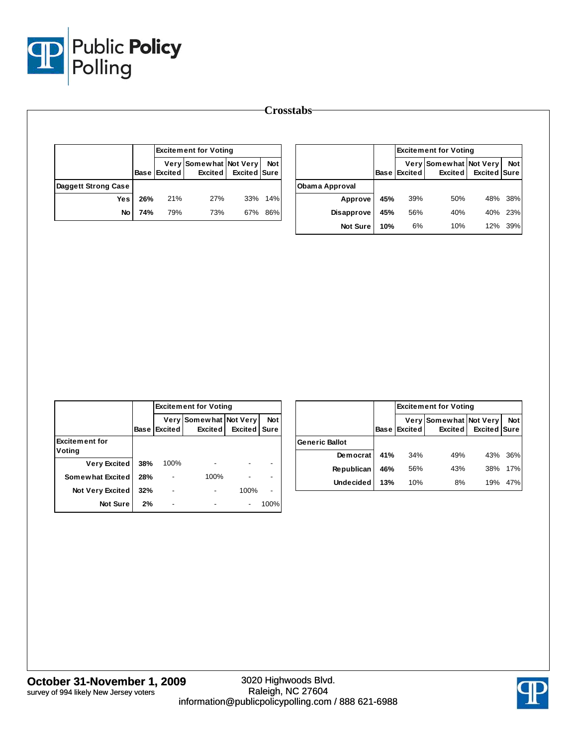

|                     |     |                     | <b>Excitement for Voting</b>             |              |            |                |     | <b>Excitement for Voting</b> |                                   |              |            |  |
|---------------------|-----|---------------------|------------------------------------------|--------------|------------|----------------|-----|------------------------------|-----------------------------------|--------------|------------|--|
|                     |     | <b>Base Excited</b> | Very Somewhat Not Very<br><b>Excited</b> | Excited Sure | <b>Not</b> |                |     | <b>Base Excited</b>          | Very Somewhat Not Very<br>Excited | Excited Sure | <b>Not</b> |  |
| Daggett Strong Case |     |                     |                                          |              |            | Obama Approval |     |                              |                                   |              |            |  |
| Yes                 | 26% | 21%                 | 27%                                      |              | 33% 14%    | Approve        | 45% | 39%                          | 50%                               | 48%          | 38%        |  |
| No                  | 74% | 79%                 | 73%                                      |              | 67% 86%    | Disapprove     | 45% | 56%                          | 40%                               | 40% 23%      |            |  |
|                     |     |                     |                                          |              |            |                |     |                              |                                   |              |            |  |

|                                 |             |                        | <b>Excitement for Voting</b>        |                |                           |
|---------------------------------|-------------|------------------------|-------------------------------------|----------------|---------------------------|
|                                 | <b>Base</b> | Very<br><b>Excited</b> | Somewhat Not Very<br><b>Excited</b> | <b>Excited</b> | <b>Not</b><br><b>Sure</b> |
| <b>Excitement for</b><br>Voting |             |                        |                                     |                |                           |
| <b>Very Excited</b>             | 38%         | 100%                   |                                     |                |                           |
| Somewhat Excited                | 28%         |                        | 100%                                |                |                           |
| <b>Not Very Excited</b>         | 32%         |                        |                                     | 100%           |                           |
| <b>Not Sure</b>                 | 2%          |                        |                                     |                | 100%                      |

|                       |             |         | <b>Excitement for Voting</b>             |                     |            |
|-----------------------|-------------|---------|------------------------------------------|---------------------|------------|
|                       | <b>Base</b> | Excited | Very Somewhat Not Very<br><b>Excited</b> | <b>Excited Sure</b> | <b>Not</b> |
| <b>Generic Ballot</b> |             |         |                                          |                     |            |
| Democrat              | 41%         | 34%     | 49%                                      | 43%                 | 36%        |
| Republican            | 46%         | 56%     | 43%                                      | 38%                 | 17%        |
| <b>Undecided</b>      | 13%         | 10%     | 8%                                       | 19%                 | 47%        |

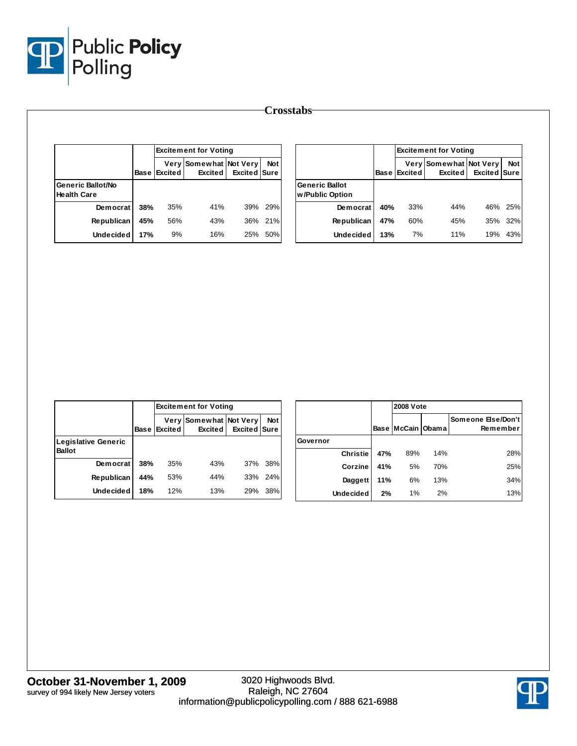

|                                         |     |                     | <b>Excitement for Voting</b>             |              |            |                                          |     |                     | <b>Excitement for Voting</b>             |              |            |
|-----------------------------------------|-----|---------------------|------------------------------------------|--------------|------------|------------------------------------------|-----|---------------------|------------------------------------------|--------------|------------|
|                                         |     | <b>Base Excited</b> | Very Somewhat Not Very<br><b>Excited</b> | Excited Sure | <b>Not</b> |                                          |     | <b>Base Excited</b> | Very Somewhat Not Very<br><b>Excited</b> | Excited Sure | <b>Not</b> |
| Generic Ballot/No<br><b>Health Care</b> |     |                     |                                          |              |            | <b>Generic Ballot</b><br>w/Public Option |     |                     |                                          |              |            |
| Democrat                                | 38% | 35%                 | 41%                                      | 39%          | 29%        | Democrat                                 | 40% | 33%                 | 44%                                      | 46%          | 25%        |
| <b>Republican</b>                       | 45% | 56%                 | 43%                                      | 36%          | 21%        | Republican                               | 47% | 60%                 | 45%                                      | 35%          | 32%        |
| Undecided                               | 17% | 9%                  | 16%                                      | 25%          | 50%        | <b>Undecided</b>                         | 13% | 7%                  | 11%                                      | 19% 43%      |            |

|                                      |             | <b>Excitement for Voting</b> |                                          |                     |            |  |  |  |  |
|--------------------------------------|-------------|------------------------------|------------------------------------------|---------------------|------------|--|--|--|--|
|                                      | <b>Base</b> | Excited                      | Very Somewhat Not Very<br><b>Excited</b> | <b>Excited Sure</b> | <b>Not</b> |  |  |  |  |
| Legislative Generic<br><b>Ballot</b> |             |                              |                                          |                     |            |  |  |  |  |
| Democrat                             | 38%         | 35%                          | 43%                                      | 37%                 | 38%        |  |  |  |  |
| <b>Republican</b>                    | 44%         | 53%                          | 44%                                      | 33%                 | 24%        |  |  |  |  |
| <b>Undecided</b>                     | 18%         | 12%                          | 13%                                      | 29%                 | 38%        |  |  |  |  |

|                  |     | <b>2008 Vote</b>      |     |                                |
|------------------|-----|-----------------------|-----|--------------------------------|
|                  |     | Base   McCain   Obama |     | Someone Else/Don't<br>Remember |
| Governor         |     |                       |     |                                |
| <b>Christie</b>  | 47% | 89%                   | 14% | 28%                            |
| Corzine          | 41% | 5%                    | 70% | 25%                            |
| Daggett          | 11% | 6%                    | 13% | 34%                            |
| <b>Undecided</b> | 2%  | 1%                    | 2%  | 13%                            |

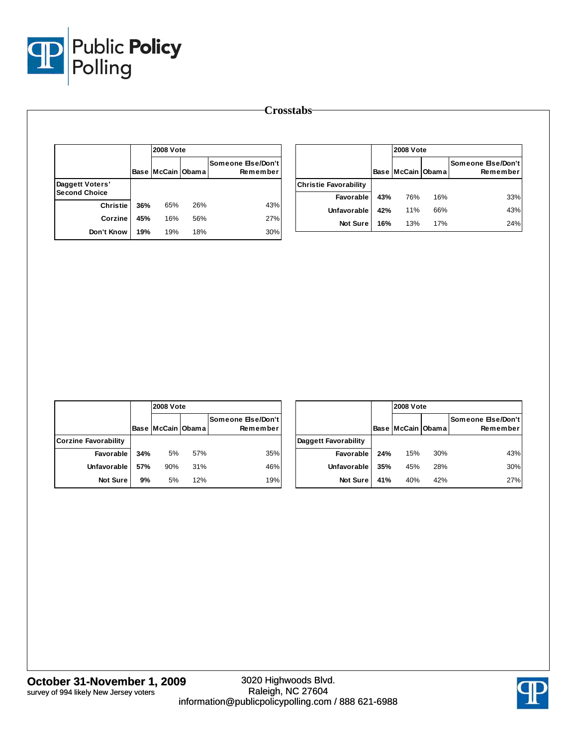

|                      |     | <b>2008 Vote</b>  |     |                                |                              |     |                   | <b>2008 Vote</b> |                                |  |  |
|----------------------|-----|-------------------|-----|--------------------------------|------------------------------|-----|-------------------|------------------|--------------------------------|--|--|
|                      |     | Base McCain Obama |     | Someone Else/Don't<br>Remember |                              |     | Base McCain Obama |                  | Someone Else/Don't<br>Remember |  |  |
| Daggett Voters'      |     |                   |     |                                | <b>Christie Favorability</b> |     |                   |                  |                                |  |  |
| <b>Second Choice</b> |     |                   |     |                                | Favorable                    | 43% | 76%               | 16%              | 33%                            |  |  |
| <b>Christie</b>      | 36% | 65%               | 26% | 43%                            | Unfavorable                  | 42% | 11%               | 66%              | 43%                            |  |  |
| Corzine              | 45% | 16%               | 56% | 27%                            | Not Sure                     | 16% | 13%               | 17%              | 24%                            |  |  |
| Don't Know           | 19% | 19%               | 18% | 30%                            |                              |     |                   |                  |                                |  |  |

|                             |     | <b>2008 Vote</b>      |     |                                  |                      |     | <b>2008 Vote</b>      |     |                                |
|-----------------------------|-----|-----------------------|-----|----------------------------------|----------------------|-----|-----------------------|-----|--------------------------------|
|                             |     | Base   McCain   Obama |     | Someone Else/Don't  <br>Remember |                      |     | Base   McCain   Obama |     | Someone Else/Don't<br>Remember |
| <b>Corzine Favorability</b> |     |                       |     |                                  | Daggett Favorability |     |                       |     |                                |
| Favorable                   | 34% | 5%                    | 57% | 35%                              | Favorable            | 24% | 15%                   | 30% | 43%                            |
| Unfavorable                 | 57% | 90%                   | 31% | 46%                              | Unfavorable          | 35% | 45%                   | 28% | 30%                            |
| <b>Not Sure</b>             | 9%  | 5%                    | 12% | 19%                              | <b>Not Sure</b>      | 41% | 40%                   | 42% | 27%                            |

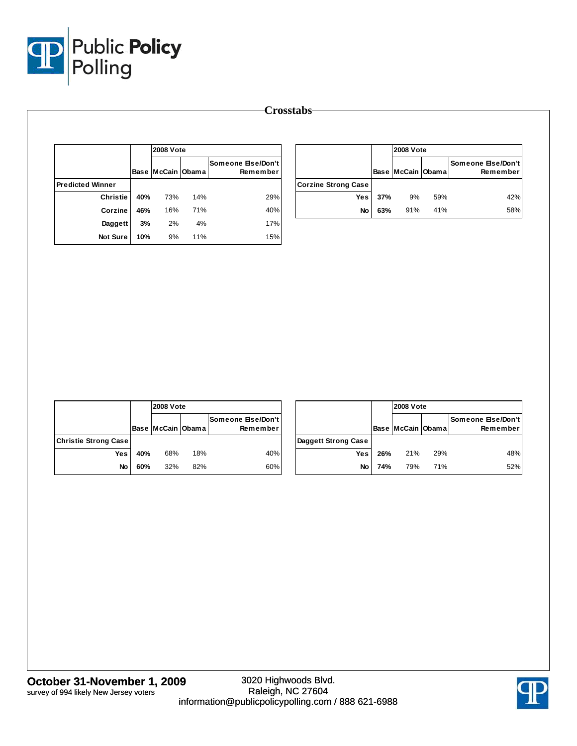

|                         |     | <b>2008 Vote</b>      |     |                                |
|-------------------------|-----|-----------------------|-----|--------------------------------|
|                         |     | Base   McCain   Obama |     | Someone Else/Don't<br>Remember |
| <b>Predicted Winner</b> |     |                       |     |                                |
| <b>Christie</b>         | 40% | 73%                   | 14% | 29%                            |
| Corzine                 | 46% | 16%                   | 71% | 40%                            |
| Daggett                 | 3%  | 2%                    | 4%  | 17%                            |
| Not Sure                | 10% | 9%                    | 11% | 15%                            |

|                            |     | <b>2008 Vote</b>      |     |                                |
|----------------------------|-----|-----------------------|-----|--------------------------------|
|                            |     | Base   McCain   Obama |     | Someone Else/Don't<br>Remember |
| <b>Corzine Strong Case</b> |     |                       |     |                                |
| <b>Yes</b>                 | 37% | 9%                    | 59% | 42%                            |
| No                         | 63% | 91%                   | 41% | 58%                            |

|                             |     | <b>2008 Vote</b>  |     |                                |     |
|-----------------------------|-----|-------------------|-----|--------------------------------|-----|
|                             |     | Base McCain Obama |     | Someone Else/Don't<br>Remember |     |
| <b>Christie Strong Case</b> |     |                   |     |                                | Daq |
| <b>Yes</b>                  | 40% | 68%               | 18% | 40%                            |     |
| No                          | 60% | 32%               | 82% | 60%                            |     |

|                     |     |                   | <b>2008 Vote</b> |                                |  |  |  |  |
|---------------------|-----|-------------------|------------------|--------------------------------|--|--|--|--|
|                     |     | Base McCain Obama |                  | Someone Else/Don't<br>Remember |  |  |  |  |
| Daggett Strong Case |     |                   |                  |                                |  |  |  |  |
| Yes                 | 26% | 21%               | 29%              | 48%                            |  |  |  |  |
| <b>No</b>           | 74% | 79%               | 71%              | 52%                            |  |  |  |  |

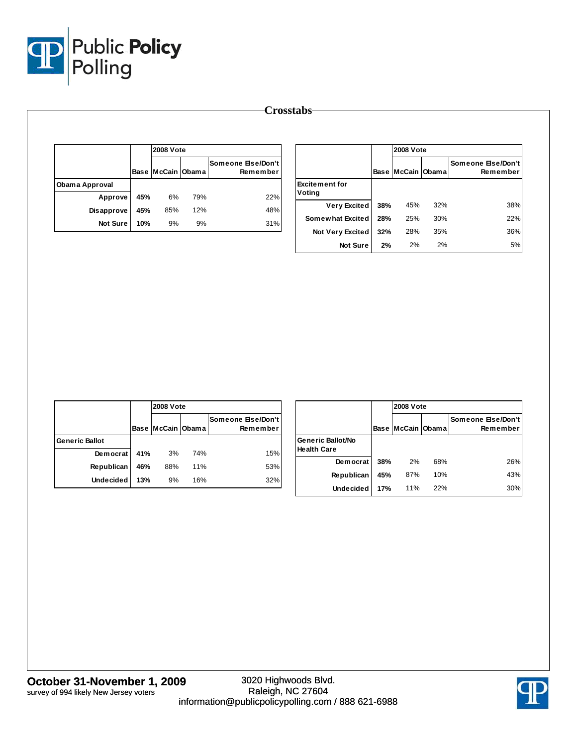

|                |     | <b>2008 Vote</b>  |     |                                |                       |     | <b>2008 Vote</b>  |     |                                |
|----------------|-----|-------------------|-----|--------------------------------|-----------------------|-----|-------------------|-----|--------------------------------|
|                |     | Base McCain Obama |     | Someone Else/Don't<br>Remember |                       |     | Base McCain Obama |     | Someone Else/Don't<br>Remember |
| Obama Approval |     |                   |     |                                | <b>Excitement for</b> |     |                   |     |                                |
| Approve        | 45% | 6%                | 79% | 22%                            | Voting                |     |                   |     |                                |
| Disapprove     | 45% | 85%               | 12% | 48%                            | <b>Very Excited</b>   | 38% | 45%               | 32% | 38%                            |
| Not Sure       | 10% | 9%                | 9%  | 31%                            | Somewhat Excited      | 28% | 25%               | 30% | 22%                            |
|                |     |                   |     |                                | Not Very Excited      | 32% | 28%               | 35% | 36%                            |
|                |     |                   |     |                                | Not Sure              | 2%  | 2%                | 2%  | 5%                             |

|                       |     | <b>2008 Vote</b>  |     |                                |
|-----------------------|-----|-------------------|-----|--------------------------------|
|                       |     | Base McCain Obama |     | Someone Else/Don't<br>Remember |
| <b>Generic Ballot</b> |     |                   |     |                                |
| Democrat              | 41% | 3%                | 74% | 15%                            |
| <b>Republican</b>     | 46% | 88%               | 11% | 53%                            |
| <b>Undecided</b>      | 13% | 9%                | 16% | 32%                            |

|                                                |             |              | <b>2008 Vote</b> |                                |  |  |  |  |
|------------------------------------------------|-------------|--------------|------------------|--------------------------------|--|--|--|--|
|                                                | <b>Base</b> | McCain Obama |                  | Someone Else/Don't<br>Remember |  |  |  |  |
| <b>Generic Ballot/No</b><br><b>Health Care</b> |             |              |                  |                                |  |  |  |  |
| Democrat                                       | 38%         | 2%           | 68%              | 26%                            |  |  |  |  |
| <b>Republican</b>                              | 45%         | 87%          | 10%              | 43%                            |  |  |  |  |
| <b>Undecided</b>                               | 17%         | 11%          | 22%              | 30%                            |  |  |  |  |

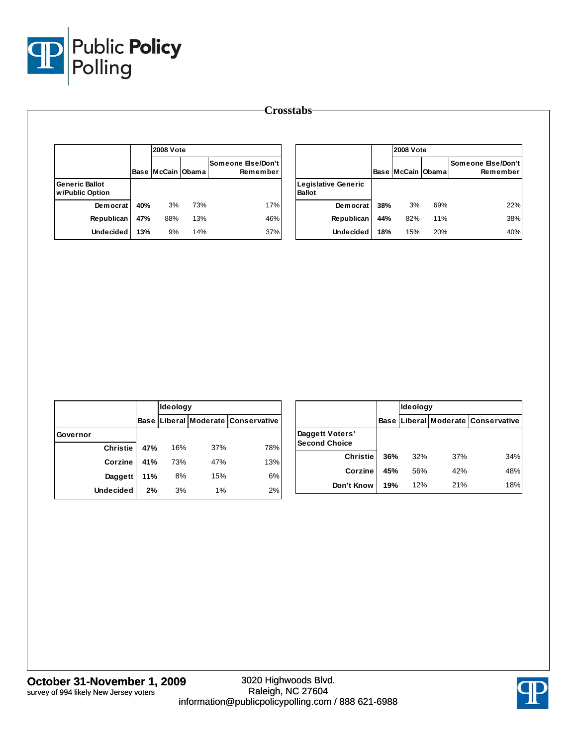

|                                          |     | <b>2008 Vote</b>  |     |                                |                                      |     | <b>2008 Vote</b>  |     |                                |
|------------------------------------------|-----|-------------------|-----|--------------------------------|--------------------------------------|-----|-------------------|-----|--------------------------------|
|                                          |     | Base McCain Obama |     | Someone Else/Don't<br>Remember |                                      |     | Base McCain Obama |     | Someone Else/Don't<br>Remember |
| <b>Generic Ballot</b><br>w/Public Option |     |                   |     |                                | Legislative Generic<br><b>Ballot</b> |     |                   |     |                                |
| Democrat                                 | 40% | 3%                | 73% | 17%                            | Democrat                             | 38% | 3%                | 69% | 22%                            |
| Republican                               | 47% | 88%               | 13% | 46%                            | Republican                           | 44% | 82%               | 11% | 38%                            |
| <b>Undecided</b>                         | 13% | 9%                | 14% | 37%                            | <b>Undecided</b>                     | 18% | 15%               | 20% | 40%                            |

|                  |     | Ideology |     |                                    |  |  |
|------------------|-----|----------|-----|------------------------------------|--|--|
|                  |     |          |     | Base Liberal Moderate Conservative |  |  |
| Governor         |     |          |     |                                    |  |  |
| <b>Christie</b>  | 47% | 16%      | 37% | 78%                                |  |  |
| Corzine          | 41% | 73%      | 47% | 13%                                |  |  |
| Daggett          | 11% | 8%       | 15% | 6%                                 |  |  |
| <b>Undecided</b> | 2%  | 3%       | 1%  | 2%                                 |  |  |

|                                         |     | Ideology |     |                                    |
|-----------------------------------------|-----|----------|-----|------------------------------------|
|                                         |     |          |     | Base Liberal Moderate Conservative |
| Daggett Voters'<br><b>Second Choice</b> |     |          |     |                                    |
| <b>Christie</b>                         | 36% | 32%      | 37% | 34%                                |
| Corzine                                 | 45% | 56%      | 42% | 48%                                |
| Don't Know                              | 19% | 12%      | 21% | 18%                                |

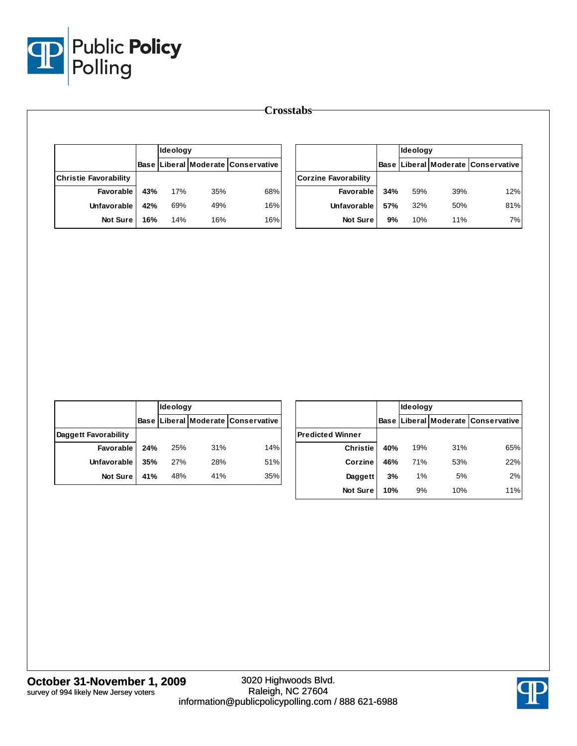

|                              |     | <b>I</b> deology |     |                                           |                             |     | <b>Ideology</b> |     |                                           |
|------------------------------|-----|------------------|-----|-------------------------------------------|-----------------------------|-----|-----------------|-----|-------------------------------------------|
|                              |     |                  |     | <b>Base Liberal Moderate Conservative</b> |                             |     |                 |     | <b>Base Liberal Moderate Conservative</b> |
| <b>Christie Favorability</b> |     |                  |     |                                           | <b>Corzine Favorability</b> |     |                 |     |                                           |
| <b>Favorable</b>             | 43% | 17%              | 35% | 68%                                       | Favorable                   | 34% | 59%             | 39% | 12%                                       |
| Unfavorable                  | 42% | 69%              | 49% | 16%                                       | <b>Unfavorable</b>          | 57% | 32%             | 50% | 81%                                       |
| Not Sure                     | 16% | 14%              | 16% | 16%                                       | <b>Not Sure</b>             | 9%  | 10%             | 11% | 7%                                        |

|                      |     | Ideology |     |                                           |
|----------------------|-----|----------|-----|-------------------------------------------|
|                      |     |          |     | <b>Base Liberal Moderate Conservative</b> |
| Daggett Favorability |     |          |     |                                           |
| Favorable            | 24% | 25%      | 31% | 14%                                       |
| <b>Unfavorable</b>   | 35% | 27%      | 28% | 51%                                       |
| <b>Not Sure</b>      | 41% | 48%      | 41% | 35%                                       |

|                         |     | Ideology |     |                                    |
|-------------------------|-----|----------|-----|------------------------------------|
|                         |     |          |     | Base Liberal Moderate Conservative |
| <b>Predicted Winner</b> |     |          |     |                                    |
| <b>Christie</b>         | 40% | 19%      | 31% | 65%                                |
| Corzine                 | 46% | 71%      | 53% | 22%                                |
| Daggett                 | 3%  | 1%       | 5%  | 2%                                 |
| <b>Not Sure</b>         | 10% | 9%       | 10% | 11%                                |

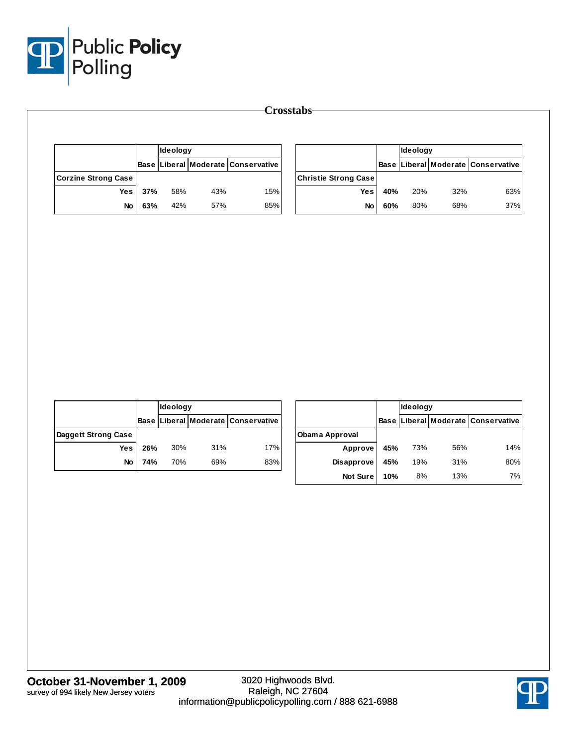

|                            |     | Ideology |     |                                    |                             |     | Ideology |     |                                    |
|----------------------------|-----|----------|-----|------------------------------------|-----------------------------|-----|----------|-----|------------------------------------|
|                            |     |          |     | Base Liberal Moderate Conservative |                             |     |          |     | Base Liberal Moderate Conservative |
| <b>Corzine Strong Case</b> |     |          |     |                                    | <b>Christie Strong Case</b> |     |          |     |                                    |
| <b>Yes</b>                 | 37% | 58%      | 43% | 15%                                | <b>Yes</b>                  | 40% | 20%      | 32% | 63%                                |
| No                         | 63% | 42%      | 57% | 85%                                | No                          | 60% | 80%      | 68% | 37%                                |

|                     |     | Ideology |     |                                    |  |  |
|---------------------|-----|----------|-----|------------------------------------|--|--|
|                     |     |          |     | Base Liberal Moderate Conservative |  |  |
| Daggett Strong Case |     |          |     |                                    |  |  |
| Yes l               | 26% | 30%      | 31% | 17%                                |  |  |
| <b>No</b>           | 74% | 70%      | 69% | 83%                                |  |  |

|                 |     | Ideology |     |                                    |  |  |
|-----------------|-----|----------|-----|------------------------------------|--|--|
|                 |     |          |     | Base Liberal Moderate Conservative |  |  |
| Obama Approval  |     |          |     |                                    |  |  |
| <b>Approve</b>  | 45% | 73%      | 56% | 14%                                |  |  |
| Disapprove      | 45% | 19%      | 31% | 80%                                |  |  |
| <b>Not Sure</b> | 10% | 8%       | 13% | 7%                                 |  |  |

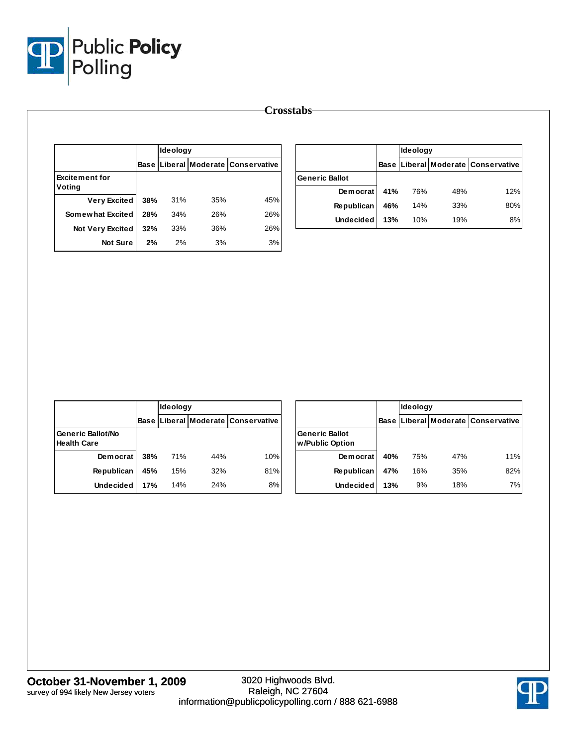

|                                 |      | <b>Ideology</b> |     |                               |  |  |  |
|---------------------------------|------|-----------------|-----|-------------------------------|--|--|--|
|                                 | Base |                 |     | Liberal Moderate Conservative |  |  |  |
| <b>Excitement for</b><br>Voting |      |                 |     |                               |  |  |  |
| <b>Very Excited</b>             | 38%  | 31%             | 35% | 45%                           |  |  |  |
| Somewhat Excited                | 28%  | 34%             | 26% | 26%                           |  |  |  |
| <b>Not Very Excited</b>         | 32%  | 33%             | 36% | 26%                           |  |  |  |
| <b>Not Sure</b>                 | 2%   | 2%              | 3%  | 3%                            |  |  |  |

|                       |     | <b>Ideology</b> |     |                                          |  |  |
|-----------------------|-----|-----------------|-----|------------------------------------------|--|--|
|                       |     |                 |     | Base   Liberal   Moderate   Conservative |  |  |
| <b>Generic Ballot</b> |     |                 |     |                                          |  |  |
| Democrat              | 41% | 76%             | 48% | 12%                                      |  |  |
| Republican            | 46% | 14%             | 33% | 80%                                      |  |  |
| Undecided             | 13% | 10%             | 19% | 8%                                       |  |  |

|                                                |     | Ideology |     |                                           |  |  |
|------------------------------------------------|-----|----------|-----|-------------------------------------------|--|--|
|                                                |     |          |     | <b>Base Liberal Moderate Conservative</b> |  |  |
| <b>Generic Ballot/No</b><br><b>Health Care</b> |     |          |     |                                           |  |  |
| Democrat                                       | 38% | 71%      | 44% | 10%                                       |  |  |
| <b>Republican</b>                              | 45% | 15%      | 32% | 81%                                       |  |  |
| <b>Undecided</b>                               | 17% | 14%      | 24% | 8%                                        |  |  |

|                                          |     | Ideology |     |                                           |  |  |  |
|------------------------------------------|-----|----------|-----|-------------------------------------------|--|--|--|
|                                          |     |          |     | <b>Base Liberal Moderate Conservative</b> |  |  |  |
| <b>Generic Ballot</b><br>w/Public Option |     |          |     |                                           |  |  |  |
| Democrat                                 | 40% | 75%      | 47% | 11%                                       |  |  |  |
| <b>Republican</b>                        | 47% | 16%      | 35% | 82%                                       |  |  |  |
| <b>Undecided</b>                         | 13% | 9%       | 18% | 7%                                        |  |  |  |

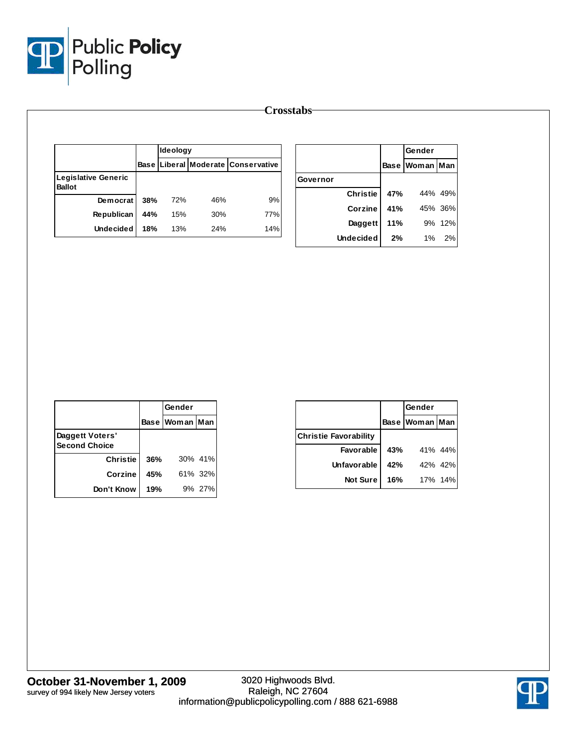

|                                             |     |          |     |                                           | <b>Crosstabs</b> |     |                |         |
|---------------------------------------------|-----|----------|-----|-------------------------------------------|------------------|-----|----------------|---------|
|                                             |     | Ideology |     |                                           |                  |     | Gender         |         |
|                                             |     |          |     | <b>Base Liberal Moderate Conservative</b> |                  |     | Base Woman Man |         |
| <b>Legislative Generic</b><br><b>Ballot</b> |     |          |     |                                           | Governor         |     |                |         |
| Democrat                                    | 38% | 72%      | 46% | 9%                                        | <b>Christie</b>  | 47% |                | 44% 49% |
| Republican                                  | 44% | 15%      | 30% | 77%                                       | Corzine          | 41% |                | 45% 36% |
| <b>Undecided</b>                            | 18% | 13%      | 24% | 14%                                       | Daggett          | 11% |                | 9% 12%  |
|                                             |     |          |     |                                           | <b>Undecided</b> | 2%  | 1%             | 2%      |

|                                         |     | Gender         |         |  |
|-----------------------------------------|-----|----------------|---------|--|
|                                         |     | Base Woman Man |         |  |
| Daggett Voters'<br><b>Second Choice</b> |     |                |         |  |
| <b>Christie</b>                         | 36% |                | 30% 41% |  |
| Corzine                                 | 45% |                | 61% 32% |  |
| Don't Know                              | 19% |                | 9% 27%  |  |

|                              |     | Gender             |         |  |
|------------------------------|-----|--------------------|---------|--|
|                              |     | Base   Woman   Man |         |  |
| <b>Christie Favorability</b> |     |                    |         |  |
| <b>Favorable</b>             | 43% |                    | 41% 44% |  |
| Unfavorable                  | 42% |                    | 42% 42% |  |
| <b>Not Sure</b>              | 16% |                    | 17% 14% |  |



**October 31-November 1, 2009** survey of 994 likely New Jersey voters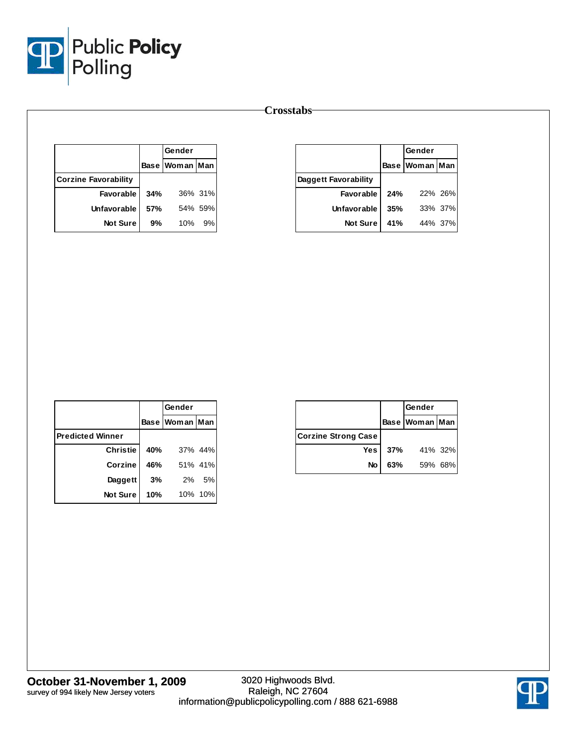

|                             |     | Gender         |         |  |
|-----------------------------|-----|----------------|---------|--|
|                             |     | Base Woman Man |         |  |
| <b>Corzine Favorability</b> |     |                |         |  |
| Favorable                   | 34% |                | 36% 31% |  |
| Unfavorable                 | 57% |                | 54% 59% |  |
| <b>Not Sure</b>             | 9%  | 10%            | 9%      |  |

|                      |     | Gender         |         |
|----------------------|-----|----------------|---------|
|                      |     | Base Woman Man |         |
| Daggett Favorability |     |                |         |
| Favorable            | 24% |                | 22% 26% |
| Unfavorable          | 35% |                | 33% 37% |
| <b>Not Sure</b>      | 41% |                | 44% 37% |

|                         |     | Gender         |         |  |
|-------------------------|-----|----------------|---------|--|
|                         |     | Base Woman Man |         |  |
| <b>Predicted Winner</b> |     |                |         |  |
| <b>Christie</b>         | 40% |                | 37% 44% |  |
| Corzine                 | 46% |                | 51% 41% |  |
| Daggett                 | 3%  |                | 2% 5%   |  |
| Not Sure                | 10% |                | 10% 10% |  |

|                            |     | Gender             |         |  |
|----------------------------|-----|--------------------|---------|--|
|                            |     | Base   Woman   Man |         |  |
| <b>Corzine Strong Case</b> |     |                    |         |  |
| Yes                        | 37% |                    | 41% 32% |  |
| No                         | 63% |                    | 59% 68% |  |

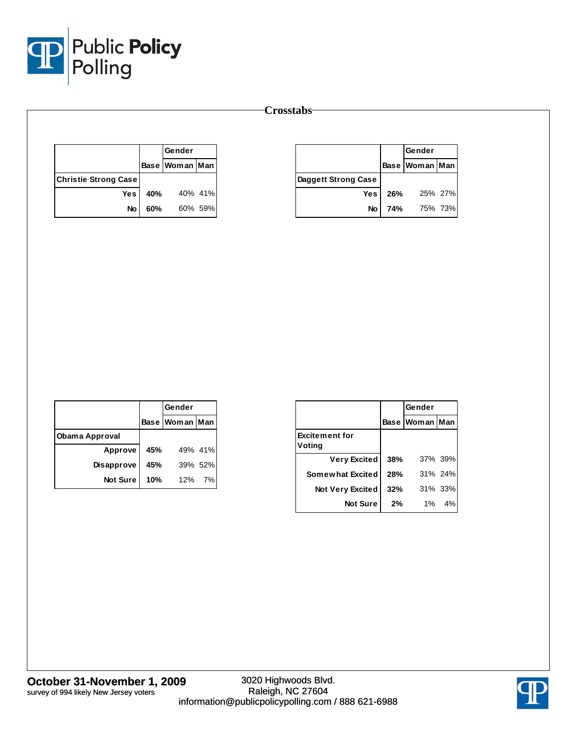

|                             |     | Gender         |         |
|-----------------------------|-----|----------------|---------|
|                             |     | Base Woman Man |         |
| <b>Christie Strong Case</b> |     |                |         |
| Yes l                       | 40% |                | 40% 41% |
| No                          | 60% |                | 60% 59% |

|                     |     | Gender             |         |
|---------------------|-----|--------------------|---------|
|                     |     | Base   Woman   Man |         |
| Daggett Strong Case |     |                    |         |
| Yes I               | 26% |                    | 25% 27% |
| No                  | 74% | 75% 73%            |         |

|                   |     | Gender         |         |  |
|-------------------|-----|----------------|---------|--|
|                   |     | Base Woman Man |         |  |
| Obama Approval    |     |                |         |  |
| Approve           | 45% |                | 49% 41% |  |
| <b>Disapprove</b> | 45% |                | 39% 52% |  |
| <b>Not Sure</b>   | 10% | 12%            | 7%      |  |

|                                 |     | Gender         |         |  |
|---------------------------------|-----|----------------|---------|--|
|                                 |     | Base Woman Man |         |  |
| <b>Excitement for</b><br>Voting |     |                |         |  |
| Very Excited                    | 38% |                | 37% 39% |  |
| Somewhat Excited                | 28% |                | 31% 24% |  |
| <b>Not Very Excited</b>         | 32% |                | 31% 33% |  |
| <b>Not Sure</b>                 | 2%  | 1%             | 4%      |  |

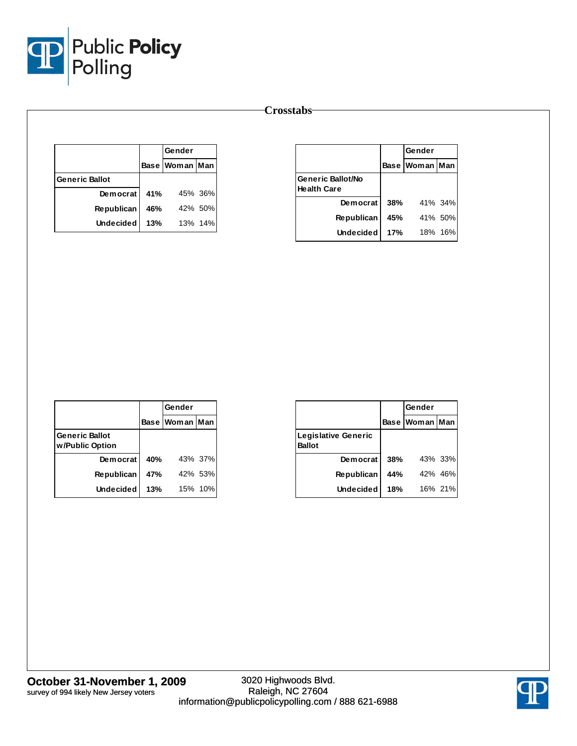

|                       |     | Gender         |         |  |
|-----------------------|-----|----------------|---------|--|
|                       |     | Base Woman Man |         |  |
| <b>Generic Ballot</b> |     |                |         |  |
| <b>Democrat</b>       | 41% |                | 45% 36% |  |
| <b>Republican</b>     | 46% |                | 42% 50% |  |
| <b>Undecided</b>      | 13% |                | 13% 14% |  |

|                                                |     | Gender             |         |
|------------------------------------------------|-----|--------------------|---------|
|                                                |     | Base   Woman   Man |         |
| <b>Generic Ballot/No</b><br><b>Health Care</b> |     |                    |         |
| Democrat                                       | 38% |                    | 41% 34% |
| <b>Republican</b>                              | 45% |                    | 41% 50% |
| Undecided                                      | 17% |                    | 18% 16% |

|                                          |     | Gender         |         |  |
|------------------------------------------|-----|----------------|---------|--|
|                                          |     | Base Woman Man |         |  |
| <b>Generic Ballot</b><br>w/Public Option |     |                |         |  |
| Democrat                                 | 40% |                | 43% 37% |  |
| <b>Republican</b>                        | 47% |                | 42% 53% |  |
| Undecided                                | 13% |                | 15% 10% |  |

|                                      |     | Gender         |         |
|--------------------------------------|-----|----------------|---------|
|                                      |     | Base Woman Man |         |
| Legislative Generic<br><b>Ballot</b> |     |                |         |
| Democrat                             | 38% |                | 43% 33% |
| <b>Republican</b>                    | 44% |                | 42% 46% |
| <b>Undecided</b>                     | 18% |                | 16% 21% |

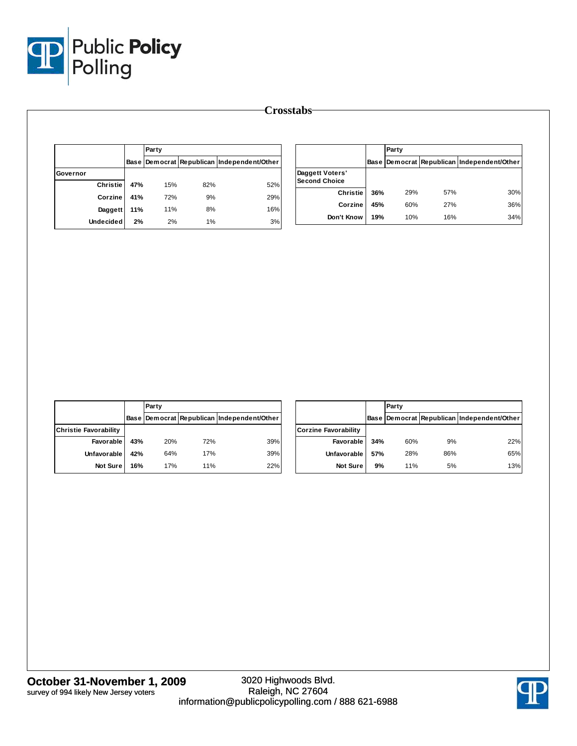

|                  |      | Party |     |                                       |  |  |  |
|------------------|------|-------|-----|---------------------------------------|--|--|--|
|                  | Base |       |     | Democrat Republican Independent/Other |  |  |  |
| Governor         |      |       |     |                                       |  |  |  |
| <b>Christie</b>  | 47%  | 15%   | 82% | 52%                                   |  |  |  |
| Corzine          | 41%  | 72%   | 9%  | 29%                                   |  |  |  |
| Daggett          | 11%  | 11%   | 8%  | 16%                                   |  |  |  |
| <b>Undecided</b> | 2%   | 2%    | 1%  | 3%                                    |  |  |  |

|                                         |      | Party |            |                                       |  |  |
|-----------------------------------------|------|-------|------------|---------------------------------------|--|--|
|                                         | Base |       |            | Democrat Republican Independent/Other |  |  |
| Daggett Voters'<br><b>Second Choice</b> |      |       |            |                                       |  |  |
| <b>Christie</b>                         | 36%  | 29%   | 57%        | 30%                                   |  |  |
| Corzine                                 | 45%  | 60%   | <b>27%</b> | 36%                                   |  |  |
| Don't Know                              | 19%  | 10%   | 16%        | 34%                                   |  |  |

|                              |     | Party |     |                                                  |                      |
|------------------------------|-----|-------|-----|--------------------------------------------------|----------------------|
|                              |     |       |     | Base   Democrat   Republican   Independent/Other |                      |
| <b>Christie Favorability</b> |     |       |     |                                                  | <b>Corzine Favor</b> |
| Favorable                    | 43% | 20%   | 72% | 39%                                              | Fay                  |
| Unfavorable                  | 42% | 64%   | 17% | 39%                                              | <b>Unfay</b>         |
| <b>Not Sure</b>              | 16% | 17%   | 11% | 22%                                              | N                    |

|                             |     | Party |     |                                            |  |
|-----------------------------|-----|-------|-----|--------------------------------------------|--|
|                             |     |       |     | Base Democrat Republican Independent/Other |  |
| <b>Corzine Favorability</b> |     |       |     |                                            |  |
| Favorable                   | 34% | 60%   | 9%  | 22%                                        |  |
| Unfavorable                 | 57% | 28%   | 86% | 65%                                        |  |
| <b>Not Sure</b>             | 9%  | 11%   | 5%  | 13%                                        |  |

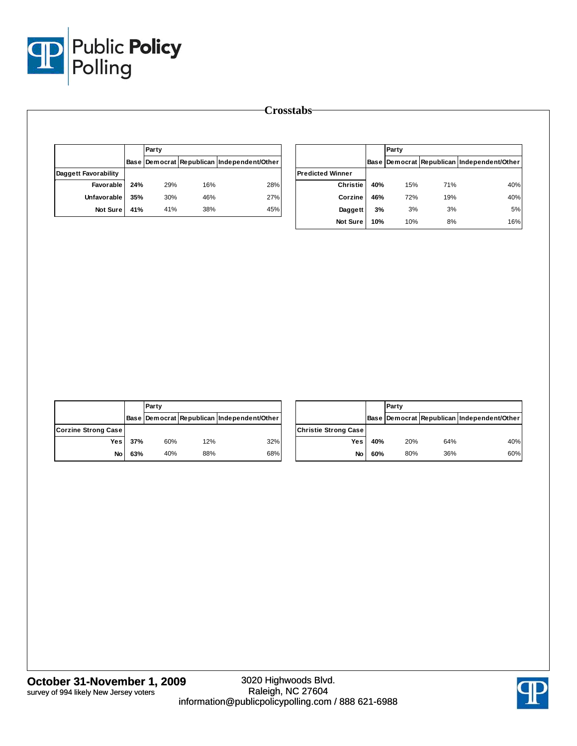

|                      |     | Party |     |                                            |  |
|----------------------|-----|-------|-----|--------------------------------------------|--|
|                      |     |       |     | Base Democrat Republican Independent/Other |  |
| Daggett Favorability |     |       |     |                                            |  |
| Favorable            | 24% | 29%   | 16% | 28%                                        |  |
| Unfavorable          | 35% | 30%   | 46% | 27%                                        |  |
| Not Sure             | 41% | 41%   | 38% | 45%                                        |  |

|                         |             | Party |     |                                       |
|-------------------------|-------------|-------|-----|---------------------------------------|
|                         | <b>Base</b> |       |     | Democrat Republican Independent/Other |
| <b>Predicted Winner</b> |             |       |     |                                       |
| <b>Christie</b>         | 40%         | 15%   | 71% | 40%                                   |
| Corzine                 | 46%         | 72%   | 19% | 40%                                   |
| Daggett                 | 3%          | 3%    | 3%  | 5%                                    |
| <b>Not Sure</b>         | 10%         | 10%   | 8%  | 16%                                   |

|                     |     | <b>Party</b> |     |                                            |                              |               | IP. |
|---------------------|-----|--------------|-----|--------------------------------------------|------------------------------|---------------|-----|
|                     |     |              |     | Base Democrat Republican Independent/Other |                              | <b>Base D</b> |     |
| Corzine Strong Case |     |              |     |                                            | <b>Christie Strong Casel</b> |               |     |
| Yes                 | 37% | 60%          | 12% | 32%                                        | Yes                          | 40%           |     |
| No                  | 63% | 40%          | 88% | 68%                                        | No                           | 60%           |     |

|                      |     | Party |     |                                            |  |
|----------------------|-----|-------|-----|--------------------------------------------|--|
|                      |     |       |     | Base Democrat Republican Independent/Other |  |
| Christie Strong Case |     |       |     |                                            |  |
| Yes                  | 40% | 20%   | 64% | 40%                                        |  |
| No                   | 60% | 80%   | 36% | 60%                                        |  |

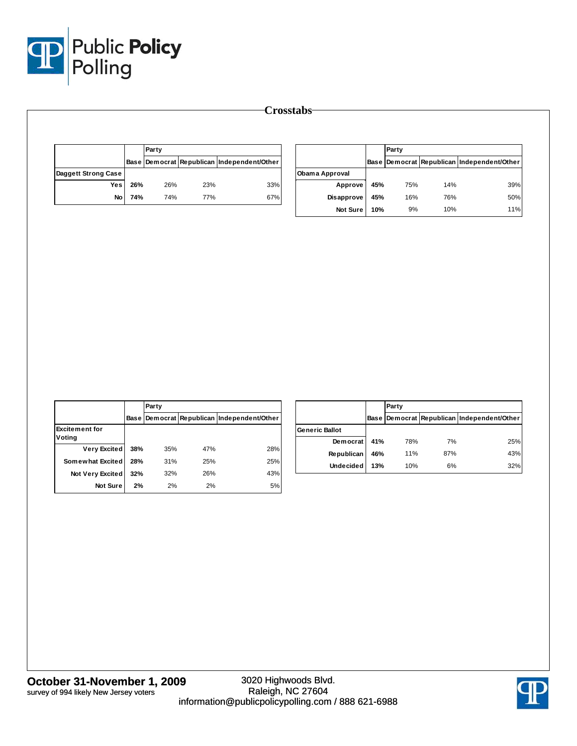

|                     |     | Party |     |                                                  |  |
|---------------------|-----|-------|-----|--------------------------------------------------|--|
|                     |     |       |     | Base   Democrat   Republican   Independent/Other |  |
| Daggett Strong Case |     |       |     |                                                  |  |
| <b>Yes</b>          | 26% | 26%   | 23% | 33%                                              |  |
| No                  | 74% | 74%   | 77% | 67%                                              |  |

|                       |     | Party |     |                                            |
|-----------------------|-----|-------|-----|--------------------------------------------|
|                       |     |       |     | Base Democrat Republican Independent/Other |
| <b>Obama Approval</b> |     |       |     |                                            |
| Approve               | 45% | 75%   | 14% | 39%                                        |
| Disapprove            | 45% | 16%   | 76% | 50%                                        |
| <b>Not Sure</b>       | 10% | 9%    | 10% | 11%                                        |

|                                 |     | Party |     |                                            |  |  |
|---------------------------------|-----|-------|-----|--------------------------------------------|--|--|
|                                 |     |       |     | Base Democrat Republican Independent/Other |  |  |
| <b>Excitement for</b><br>Voting |     |       |     |                                            |  |  |
| <b>Very Excited</b>             | 38% | 35%   | 47% | 28%                                        |  |  |
| Somewhat Excited                | 28% | 31%   | 25% | 25%                                        |  |  |
| <b>Not Very Excited</b>         | 32% | 32%   | 26% | 43%                                        |  |  |
| <b>Not Sure</b>                 | 2%  | 2%    | 2%  | 5%                                         |  |  |

|                       |     | Party |     |                                            |  |
|-----------------------|-----|-------|-----|--------------------------------------------|--|
|                       |     |       |     | Base Democrat Republican Independent/Other |  |
| <b>Generic Ballot</b> |     |       |     |                                            |  |
| Democrat              | 41% | 78%   | 7%  | 25%                                        |  |
| Republican            | 46% | 11%   | 87% | 43%                                        |  |
| <b>Undecided</b>      | 13% | 10%   | 6%  | 32%                                        |  |

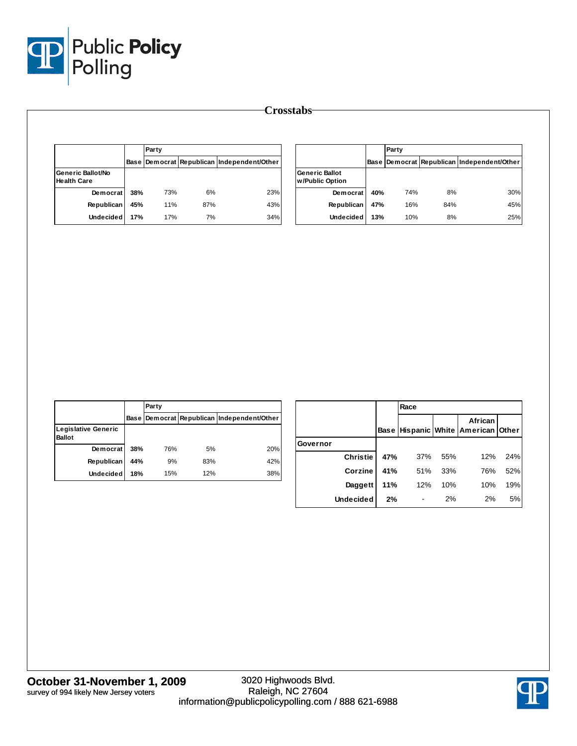

|                                         |     | Party |     |                                                  |  |
|-----------------------------------------|-----|-------|-----|--------------------------------------------------|--|
|                                         |     |       |     | Base   Democrat   Republican   Independent/Other |  |
| Generic Ballot/No<br><b>Health Care</b> |     |       |     |                                                  |  |
| Democrat                                | 38% | 73%   | 6%  | 23%                                              |  |
| Republican                              | 45% | 11%   | 87% | 43%                                              |  |
| <b>Undecided</b>                        | 17% | 17%   | 7%  | 34%                                              |  |

|                                          |             | Party |     |                                       |  |
|------------------------------------------|-------------|-------|-----|---------------------------------------|--|
|                                          | <b>Base</b> |       |     | Democrat Republican Independent/Other |  |
| <b>Generic Ballot</b><br>w/Public Option |             |       |     |                                       |  |
| <b>Democrat</b>                          | 40%         | 74%   | 8%  | 30%                                   |  |
| Republican                               | 47%         | 16%   | 84% | 45%                                   |  |
| <b>Undecided</b>                         | 13%         | 10%   | 8%  | 25%                                   |  |

|                                             |      | Party |     |                                       |
|---------------------------------------------|------|-------|-----|---------------------------------------|
|                                             | Base |       |     | Democrat Republican Independent/Other |
| <b>Legislative Generic</b><br><b>Ballot</b> |      |       |     |                                       |
| Democrat                                    | 38%  | 76%   | 5%  | 20%                                   |
| <b>Republican</b>                           | 44%  | 9%    | 83% | 42%                                   |
| <b>Undecided</b>                            | 18%  | 15%   | 12% | 38%                                   |

|          |                  |      | Race |     |                                          |     |
|----------|------------------|------|------|-----|------------------------------------------|-----|
|          |                  | Base |      |     | African<br>Hispanic White American Other |     |
| Governor |                  |      |      |     |                                          |     |
|          | <b>Christie</b>  | 47%  | 37%  | 55% | 12%                                      | 24% |
|          | Corzine          | 41%  | 51%  | 33% | 76%                                      | 52% |
|          | Daggett          | 11%  | 12%  | 10% | 10%                                      | 19% |
|          | <b>Undecided</b> | 2%   |      | 2%  | 2%                                       | 5%  |

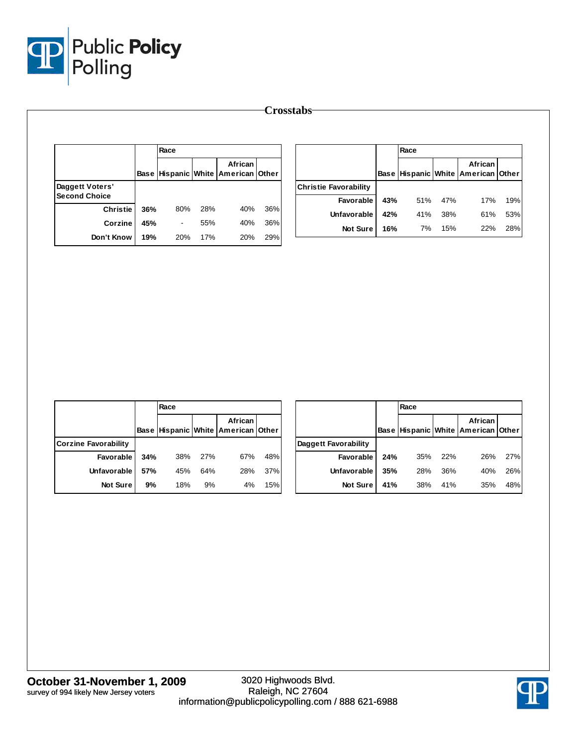

|                      |     | Race                     |     |                                                       |     |                              |     | Race |     |                                               |     |
|----------------------|-----|--------------------------|-----|-------------------------------------------------------|-----|------------------------------|-----|------|-----|-----------------------------------------------|-----|
|                      |     |                          |     | African<br>Base   Hispanic   White   American   Other |     |                              |     |      |     | African<br>Base Hispanic White American Other |     |
| Daggett Voters'      |     |                          |     |                                                       |     | <b>Christie Favorability</b> |     |      |     |                                               |     |
| <b>Second Choice</b> |     |                          |     |                                                       |     | Favorable                    | 43% | 51%  | 47% | 17%                                           | 19% |
| <b>Christie</b>      | 36% | 80%                      | 28% | 40%                                                   | 36% | <b>Unfavorable</b>           | 42% | 41%  | 38% | 61%                                           | 53% |
| Corzine              | 45% | $\overline{\phantom{a}}$ | 55% | 40%                                                   | 36% | Not Sure                     | 16% | 7%   | 15% | 22%                                           | 28% |
| Don't Know           | 19% | 20%                      | 17% | 20%                                                   | 29% |                              |     |      |     |                                               |     |

|                      |     | Race |     |                                                      |     |                      |     | Race |     |                                               |     |
|----------------------|-----|------|-----|------------------------------------------------------|-----|----------------------|-----|------|-----|-----------------------------------------------|-----|
|                      |     |      |     | <b>African</b><br>Base Hispanic White American Other |     |                      |     |      |     | African<br>Base Hispanic White American Other |     |
| Corzine Favorability |     |      |     |                                                      |     | Daggett Favorability |     |      |     |                                               |     |
| Favorable            | 34% | 38%  | 27% | 67%                                                  | 48% | <b>Favorable</b>     | 24% | 35%  | 22% | 26%                                           | 27% |
| Unfavorable          | 57% | 45%  | 64% | 28%                                                  | 37% | Unfavorable          | 35% | 28%  | 36% | 40%                                           | 26% |
| <b>Not Sure</b>      | 9%  | 18%  | 9%  | 4%                                                   | 15% | Not Sure             | 41% | 38%  | 41% | 35%                                           | 48% |

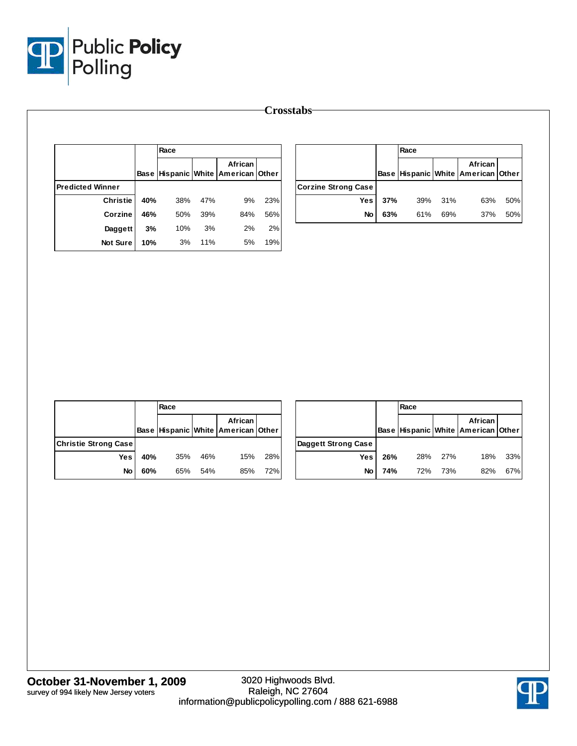

|                         |     | Race |     |                                               |     |                            |     | Race |     |                                               |     |
|-------------------------|-----|------|-----|-----------------------------------------------|-----|----------------------------|-----|------|-----|-----------------------------------------------|-----|
|                         |     |      |     | African<br>Base Hispanic White American Other |     |                            |     |      |     | African<br>Base Hispanic White American Other |     |
| <b>Predicted Winner</b> |     |      |     |                                               |     | <b>Corzine Strong Case</b> |     |      |     |                                               |     |
| <b>Christie</b>         | 40% | 38%  | 47% | 9%                                            | 23% | Yes                        | 37% | 39%  | 31% | 63%                                           | 50% |
| Corzine                 | 46% | 50%  | 39% | 84%                                           | 56% | No                         | 63% | 61%  | 69% | 37%                                           | 50% |
| Daggett                 | 3%  | 10%  | 3%  | 2%                                            | 2%  |                            |     |      |     |                                               |     |
| Not Sure                | 10% | 3%   | 11% | 5%                                            | 19% |                            |     |      |     |                                               |     |

|                             |     | Race |     |                                                       |     |               |
|-----------------------------|-----|------|-----|-------------------------------------------------------|-----|---------------|
|                             |     |      |     | African<br>Base   Hispanic   White   American   Other |     |               |
| <b>Christie Strong Case</b> |     |      |     |                                                       |     | <b>Dagget</b> |
| Yes                         | 40% | 35%  | 46% | 15%                                                   | 28% |               |
| No                          | 60% | 65%  | 54% | 85%                                                   | 72% |               |

|                     |     | Race |     |                                                       |     |
|---------------------|-----|------|-----|-------------------------------------------------------|-----|
|                     |     |      |     | African<br>Base   Hispanic   White   American   Other |     |
| Daggett Strong Case |     |      |     |                                                       |     |
| Yes                 | 26% | 28%  | 27% | 18%                                                   | 33% |
| No                  | 74% | 72%  | 73% | 82%                                                   | 67% |

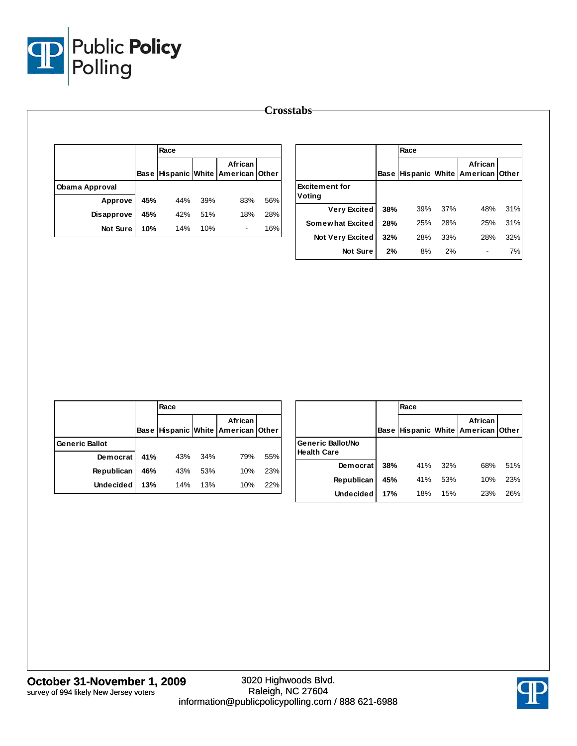

|                |     | Race |     |                                               |     |                       |     | Race |     |                                               |     |
|----------------|-----|------|-----|-----------------------------------------------|-----|-----------------------|-----|------|-----|-----------------------------------------------|-----|
|                |     |      |     | African<br>Base Hispanic White American Other |     |                       |     |      |     | African<br>Base Hispanic White American Other |     |
| Obama Approval |     |      |     |                                               |     | <b>Excitement for</b> |     |      |     |                                               |     |
| Approve        | 45% | 44%  | 39% | 83%                                           | 56% | Voting                |     |      |     |                                               |     |
| Disapprove     | 45% | 42%  | 51% | 18%                                           | 28% | <b>Very Excited</b>   | 38% | 39%  | 37% | 48%                                           | 31% |
| Not Sure       | 10% | 14%  | 10% | $\blacksquare$                                | 16% | Somewhat Excited      | 28% | 25%  | 28% | 25%                                           | 31% |
|                |     |      |     |                                               |     | Not Very Excited      | 32% | 28%  | 33% | 28%                                           | 32% |
|                |     |      |     |                                               |     | Not Sure              | 2%  | 8%   | 2%  | ٠                                             | 7%  |

|                       |     | Race |     |                                               |     |
|-----------------------|-----|------|-----|-----------------------------------------------|-----|
|                       |     |      |     | African<br>Base Hispanic White American Other |     |
| <b>Generic Ballot</b> |     |      |     |                                               |     |
| Democrat              | 41% | 43%  | 34% | 79%                                           | 55% |
| <b>Republican</b>     | 46% | 43%  | 53% | 10%                                           | 23% |
| <b>Undecided</b>      | 13% | 14%  | 13% | 10%                                           | 22% |

|                                         |             | Race |     |                                          |     |
|-----------------------------------------|-------------|------|-----|------------------------------------------|-----|
|                                         | <b>Base</b> |      |     | African<br>Hispanic White American Other |     |
| Generic Ballot/No<br><b>Health Care</b> |             |      |     |                                          |     |
| Democrat                                | 38%         | 41%  | 32% | 68%                                      | 51% |
| <b>Republican</b>                       | 45%         | 41%  | 53% | 10%                                      | 23% |
| <b>Undecided</b>                        | 17%         | 18%  | 15% | 23%                                      | 26% |

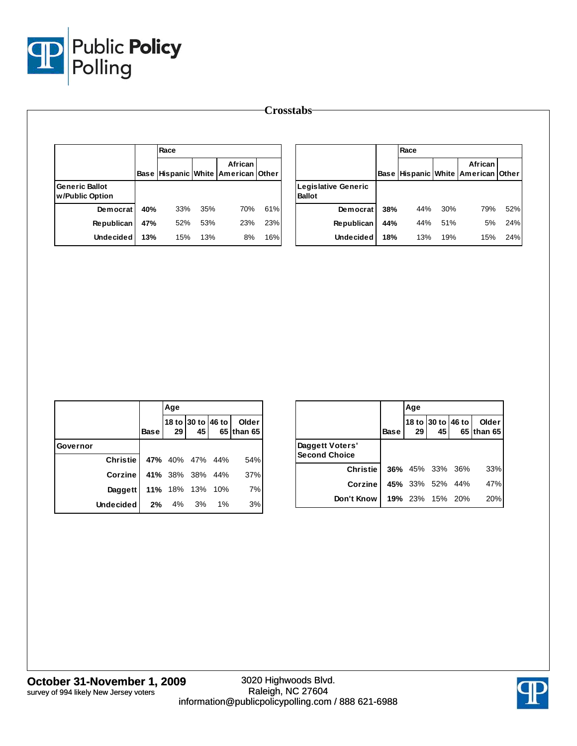

|                                          |     | Race |     |                                               |     |                                             |     | Race |     |                                                        |     |
|------------------------------------------|-----|------|-----|-----------------------------------------------|-----|---------------------------------------------|-----|------|-----|--------------------------------------------------------|-----|
|                                          |     |      |     | African<br>Base Hispanic White American Other |     |                                             |     |      |     | African<br> Base   Hispanic   White   American   Other |     |
| <b>Generic Ballot</b><br>w/Public Option |     |      |     |                                               |     | <b>Legislative Generic</b><br><b>Ballot</b> |     |      |     |                                                        |     |
| Democrat                                 | 40% | 33%  | 35% | 70%                                           | 61% | Democrat                                    | 38% | 44%  | 30% | 79%                                                    | 52% |
| Republican                               | 47% | 52%  | 53% | 23%                                           | 23% | Republican                                  | 44% | 44%  | 51% | 5%                                                     | 24% |
| <b>Undecided</b>                         | 13% | 15%  | 13% | 8%                                            | 16% | <b>Undecided</b>                            | 18% | 13%  | 19% | 15%                                                    | 24% |

|          |                  |             | Age |                         |    |                       |
|----------|------------------|-------------|-----|-------------------------|----|-----------------------|
|          |                  | <b>Base</b> | 29  | 18 to 30 to 46 to<br>45 |    | Older I<br>65 than 65 |
| Governor |                  |             |     |                         |    |                       |
|          | <b>Christie</b>  |             |     | 47% 40% 47% 44%         |    | 54%                   |
|          | Corzine          |             |     | 41% 38% 38% 44%         |    | 37%                   |
|          | Daggett          |             |     | 11% 18% 13% 10%         |    | 7%                    |
|          | <b>Undecided</b> | 2%          | 4%  | 3%                      | 1% | 3%                    |

|                                         |             | Age |                        |                   |                     |
|-----------------------------------------|-------------|-----|------------------------|-------------------|---------------------|
|                                         | <b>Base</b> | 29  | 45                     | 18 to 30 to 46 to | Older<br>65 than 65 |
| Daggett Voters'<br><b>Second Choice</b> |             |     |                        |                   |                     |
| <b>Christie</b>                         |             |     | <b>36%</b> 45% 33% 36% |                   | 33%                 |
| Corzine                                 |             |     | 45% 33% 52% 44%        |                   | 47%                 |
| Don't Know                              |             |     | 19% 23% 15% 20%        |                   | 20%                 |

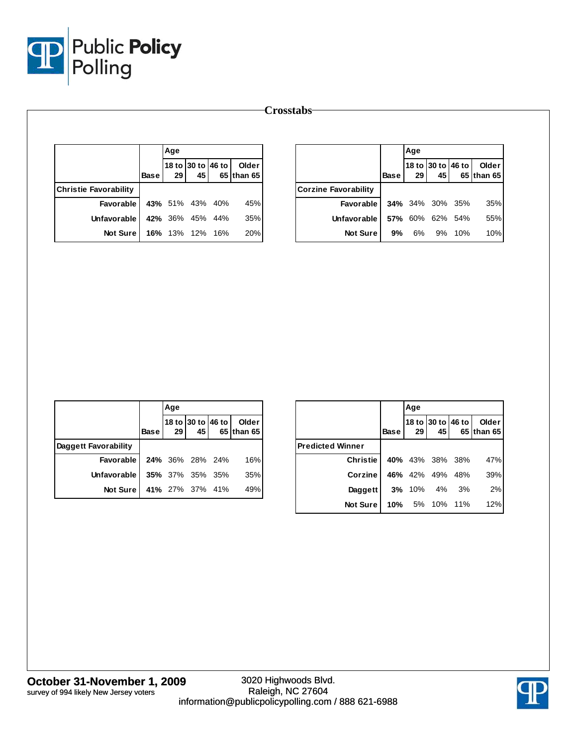

|                              |             | Age             |                                      |                          |
|------------------------------|-------------|-----------------|--------------------------------------|--------------------------|
|                              | <b>Base</b> | 29 I            | 18 to 30 to 46 to<br>45 <sub>1</sub> | Older I<br>65 Ithan 65 I |
| <b>Christie Favorability</b> |             |                 |                                      |                          |
| <b>Favorable</b>             |             | 43% 51% 43% 40% |                                      | 45%                      |
| Unfavorable                  |             | 42% 36% 45% 44% |                                      | 35%                      |
| <b>Not Sure</b>              |             | 16% 13% 12% 16% |                                      | 20%                      |

|                             |             | Age             |                 |                   |                       |
|-----------------------------|-------------|-----------------|-----------------|-------------------|-----------------------|
|                             | <b>Base</b> | 29 <sub>1</sub> | 45 <sub>1</sub> | 18 to 30 to 46 to | Older I<br>65 than 65 |
| <b>Corzine Favorability</b> |             |                 |                 |                   |                       |
| <b>Favorable</b>            |             |                 |                 | 34% 34% 30% 35%   | 35%                   |
| Unfavorable                 |             |                 | 57% 60% 62% 54% |                   | 55%                   |
| <b>Not Sure</b>             | 9%          | 6%              |                 | 9% 10%            | 10%                   |

|                      |             | Age             |                        |                                         |
|----------------------|-------------|-----------------|------------------------|-----------------------------------------|
|                      | <b>Base</b> | 29 <sub>1</sub> | 45                     | 18 to 30 to 46 to   Older<br>65 than 65 |
| Daggett Favorability |             |                 |                        |                                         |
| Favorable I          |             |                 | <b>24%</b> 36% 28% 24% | 16%                                     |
| Unfavorable I        |             |                 | <b>35%</b> 37% 35% 35% | 35%                                     |
| Not Sure I           |             |                 | 41% 27% 37% 41%        | 49%                                     |

|                         |             | Age           |                         |     |                     |
|-------------------------|-------------|---------------|-------------------------|-----|---------------------|
|                         | <b>Base</b> | 29            | 18 to 30 to 46 to<br>45 |     | Older<br>65 than 65 |
| <b>Predicted Winner</b> |             |               |                         |     |                     |
| <b>Christie</b>         |             |               | 40% 43% 38% 38%         |     | 47%                 |
| Corzine                 | 46%         | 42%           | 49%                     | 48% | 39%                 |
| Daggett                 |             | <b>3%</b> 10% | 4%                      | 3%  | 2%                  |
| <b>Not Sure</b>         | 10%         | 5%            | 10%                     | 11% | 12%                 |

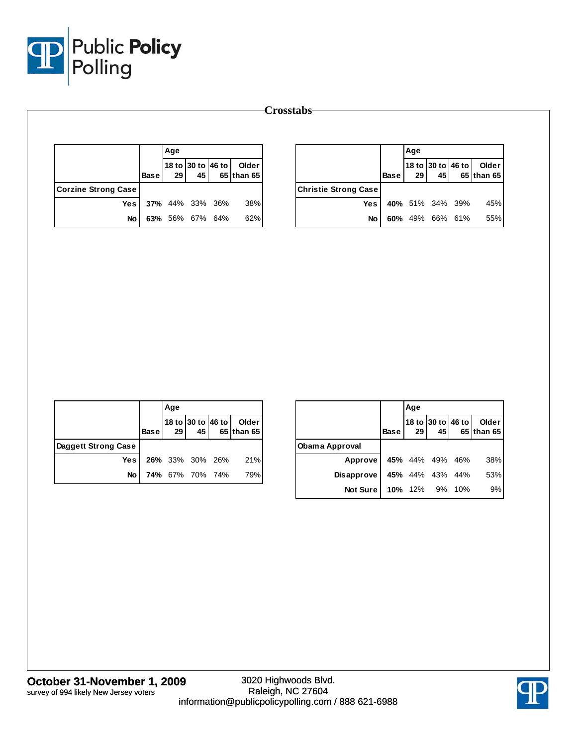

|                            |             | Age             |                        |                                            |
|----------------------------|-------------|-----------------|------------------------|--------------------------------------------|
|                            | <b>Base</b> | 29 <sub>l</sub> |                        | 18 to 30 to 46 to   Older<br>45 65 than 65 |
| <b>Corzine Strong Case</b> |             |                 |                        |                                            |
| Yesl                       |             |                 | <b>37%</b> 44% 33% 36% | 38%                                        |
| No                         |             |                 | 63% 56% 67% 64%        | 62%                                        |

|                             |             | Age             |                 |                                         |
|-----------------------------|-------------|-----------------|-----------------|-----------------------------------------|
|                             | <b>Base</b> | 29 <sup>1</sup> | 45              | 18 to 30 to 46 to   Older<br>65 than 65 |
| <b>Christie Strong Case</b> |             |                 |                 |                                         |
| Yesl                        |             |                 | 40% 51% 34% 39% | 45%                                     |
| No                          |             |                 | 60% 49% 66% 61% | 55%                                     |

|                     |        | Age             |                        |                                            |
|---------------------|--------|-----------------|------------------------|--------------------------------------------|
|                     | Base I | 29 <sup>1</sup> |                        | 18 to 30 to 46 to   Older<br>45 65 than 65 |
| Daggett Strong Case |        |                 |                        |                                            |
| Yesl                |        |                 |                        | 26% 33% 30% 26% 21%                        |
| No                  |        |                 | <b>74%</b> 67% 70% 74% | 79%                                        |

|                   |             | Age     |                         |       |                       |
|-------------------|-------------|---------|-------------------------|-------|-----------------------|
|                   | <b>Base</b> | 29      | 18 to 30 to 46 to<br>45 |       | Older  <br>65 than 65 |
| Obama Approval    |             |         |                         |       |                       |
| Approve           |             |         | 45% 44% 49% 46%         |       | 38%                   |
| <b>Disapprove</b> |             |         | 45% 44% 43% 44%         |       | 53%                   |
| <b>Not Sure</b>   |             | 10% 12% | 9%                      | - 10% | 9%                    |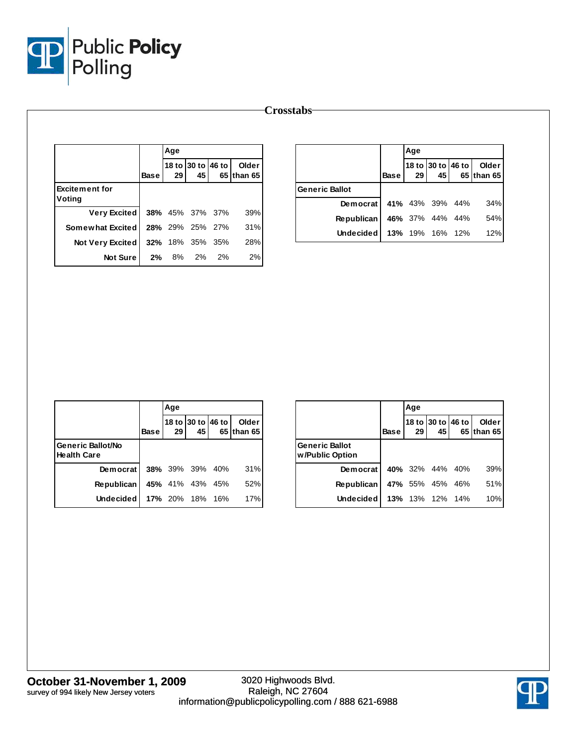

|                                 |                | Age |                         |    |                     |
|---------------------------------|----------------|-----|-------------------------|----|---------------------|
|                                 | <b>Base</b>    | 29  | 18 to 30 to 46 to<br>45 |    | Older<br>65 than 65 |
| <b>Excitement for</b><br>Voting |                |     |                         |    |                     |
| <b>Very Excited</b>             |                |     | 38% 45% 37% 37%         |    | 39%                 |
| Somewhat Excited                |                |     | <b>28%</b> 29% 25% 27%  |    | 31%                 |
| <b>Not Very Excited</b>         |                |     | <b>32%</b> 18% 35% 35%  |    | 28%                 |
|                                 | Not Sure<br>2% |     | 8% 2%                   | 2% | 2%                  |

|                   |             | Age       |                 |                   |                       |
|-------------------|-------------|-----------|-----------------|-------------------|-----------------------|
|                   | <b>Base</b> | <b>29</b> | 45              | 18 to 30 to 46 to | Older l<br>65 than 65 |
| Generic Ballot    |             |           |                 |                   |                       |
| Democrat          |             |           |                 | 41% 43% 39% 44%   | 34%                   |
| <b>Republican</b> |             |           | 46% 37% 44% 44% |                   | 54%                   |
| Undecided l       |             |           | 13% 19% 16% 12% |                   | 12%                   |

|                                         |             | Age |                         |                      |
|-----------------------------------------|-------------|-----|-------------------------|----------------------|
|                                         | <b>Base</b> | 29  | 18 to 30 to 46 to<br>45 | Older<br>65 Ithan 65 |
| Generic Ballot/No<br><b>Health Care</b> |             |     |                         |                      |
| Democrat                                |             |     | <b>38%</b> 39% 39% 40%  | 31%                  |
| <b>Republican</b>                       |             |     | 45% 41% 43% 45%         | 52%                  |
| <b>Undecided</b>                        |             |     | 17% 20% 18% 16%         | 17%                  |

|                                          |             | Age |                 |                   |                     |
|------------------------------------------|-------------|-----|-----------------|-------------------|---------------------|
|                                          | <b>Base</b> | 29  | 45              | 18 to 30 to 46 to | Older<br>65 than 65 |
| <b>Generic Ballot</b><br>w/Public Option |             |     |                 |                   |                     |
| Democrat                                 |             |     | 40% 32% 44% 40% |                   | 39%                 |
| <b>Republican</b>                        |             |     | 47% 55% 45%     | - 46%             | 51%                 |
| Undecided                                |             |     | 13% 13% 12% 14% |                   | 10%                 |

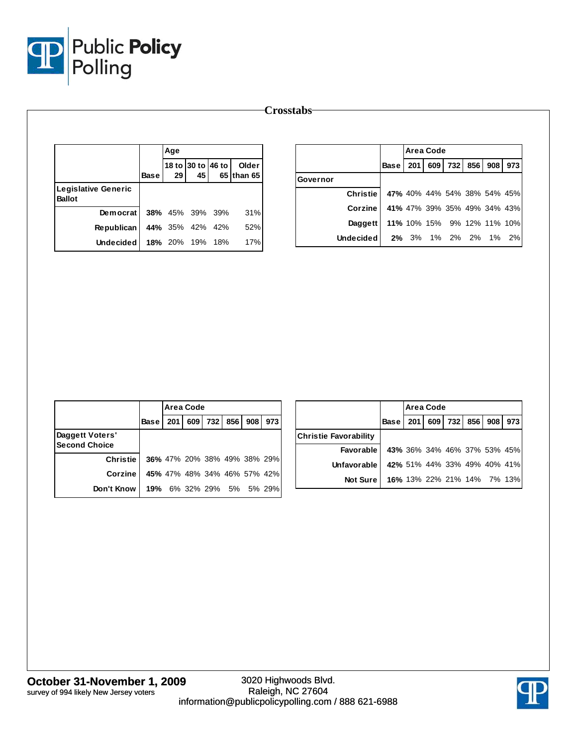

|                                      |             | Age |                         |     |                     |
|--------------------------------------|-------------|-----|-------------------------|-----|---------------------|
|                                      | <b>Base</b> | 29  | 18 to 30 to 46 to<br>45 |     | Older<br>65 than 65 |
| Legislative Generic<br><b>Ballot</b> |             |     |                         |     |                     |
| Democrat                             |             |     | 38% 45% 39%             | 39% | 31%                 |
| <b>Republican</b>                    |             |     | 44% 35% 42%             | 42% | 52%                 |
| <b>Undecided</b>                     |             |     | 18% 20% 19%             | 18% | 17%                 |

|                 |                            |                             | <b>Area Code</b> |         |     |     |     |
|-----------------|----------------------------|-----------------------------|------------------|---------|-----|-----|-----|
|                 | Base                       | 201                         |                  | 609 732 | 856 | 908 | 973 |
| Governor        |                            |                             |                  |         |     |     |     |
| <b>Christie</b> |                            | 47% 40% 44% 54% 38% 54% 45% |                  |         |     |     |     |
| Corzine         |                            | 41% 47% 39% 35% 49% 34% 43% |                  |         |     |     |     |
| Daggett         | 11% 10% 15% 9% 12% 11% 10% |                             |                  |         |     |     |     |
| Undecided       |                            | 2% 3% 1% 2% 2% 1% 2%        |                  |         |     |     |     |
|                 |                            |                             |                  |         |     |     |     |

|                                         |             |                             | Area Code |     |     |     |     |
|-----------------------------------------|-------------|-----------------------------|-----------|-----|-----|-----|-----|
|                                         | <b>Base</b> | 201                         | 609       | 732 | 856 | 908 | 973 |
| Daggett Voters'<br><b>Second Choice</b> |             |                             |           |     |     |     |     |
| <b>Christie</b>                         |             | 36% 47% 20% 38% 49% 38% 29% |           |     |     |     |     |
| Corzine                                 |             | 45% 47% 48% 34% 46% 57% 42% |           |     |     |     |     |
| Don't Know                              |             | 19% 6% 32% 29% 5% 5% 29%    |           |     |     |     |     |

|                       |                            | Area Code                   |             |     |     |
|-----------------------|----------------------------|-----------------------------|-------------|-----|-----|
|                       | <b>Base</b>                | <b>201</b>                  | 609 732 856 | 908 | 973 |
| Christie Favorability |                            |                             |             |     |     |
| Favorable             |                            | 43% 36% 34% 46% 37% 53% 45% |             |     |     |
| Unfavorable           |                            | 42% 51% 44% 33% 49% 40% 41% |             |     |     |
| Not Sure I            | 16% 13% 22% 21% 14% 7% 13% |                             |             |     |     |

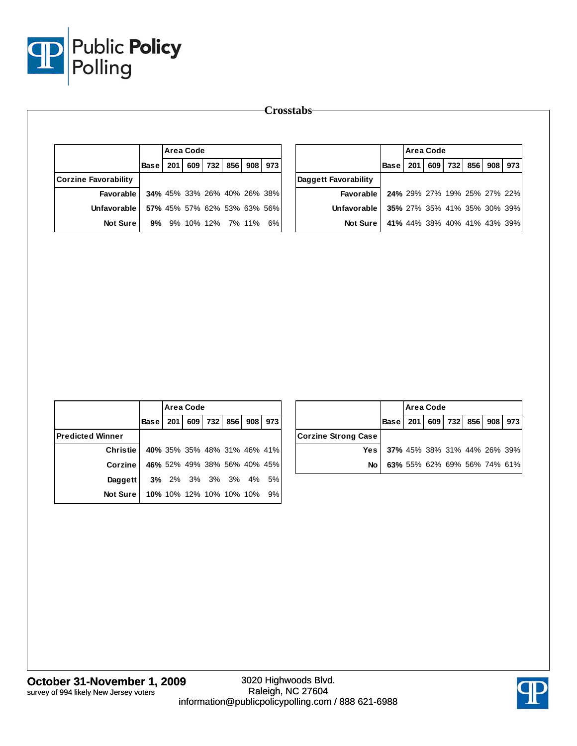

|                                            |             |                                                            | <b>Area Code</b> |                 |       |     |     |                                          |             |     | Area Code                                                  |         |     |     |         |
|--------------------------------------------|-------------|------------------------------------------------------------|------------------|-----------------|-------|-----|-----|------------------------------------------|-------------|-----|------------------------------------------------------------|---------|-----|-----|---------|
|                                            | <b>Base</b> | 201                                                        |                  | 609 732 856 908 |       |     | 973 |                                          | <b>Base</b> | 201 |                                                            | 609 732 | 856 |     | 908 973 |
| <b>Corzine Favorability</b>                |             |                                                            |                  |                 |       |     |     | Daggett Favorability                     |             |     |                                                            |         |     |     |         |
| Favorable                                  |             | 34% 45% 33% 26% 40% 26% 38%                                |                  |                 |       |     |     | Favorable                                |             |     | 24% 29% 27% 19% 25% 27% 22%                                |         |     |     |         |
| Unfavorable                                |             | 57% 45% 57% 62% 53% 63% 56%                                |                  |                 |       |     |     | Unfavorable                              |             |     | 35% 27% 35% 41% 35% 30% 39%                                |         |     |     |         |
| <b>Not Sure</b>                            |             | 9% 9% 10% 12% 7% 11% 6%                                    |                  |                 |       |     |     | Not Sure                                 |             |     | 41% 44% 38% 40% 41% 43% 39%                                |         |     |     |         |
|                                            |             |                                                            |                  |                 |       |     |     |                                          |             |     |                                                            |         |     |     |         |
|                                            |             |                                                            |                  |                 |       |     |     |                                          |             |     |                                                            |         |     |     |         |
|                                            |             |                                                            | <b>Area Code</b> |                 |       |     |     |                                          |             |     | Area Code                                                  |         |     |     |         |
|                                            | Base        | 201                                                        |                  | 609 732         | 856   | 908 | 973 |                                          | <b>Base</b> | 201 |                                                            | 609 732 | 856 | 908 | 973     |
| <b>Predicted Winner</b><br><b>Christie</b> |             |                                                            |                  |                 |       |     |     | <b>Corzine Strong Case</b><br><b>Yes</b> |             |     |                                                            |         |     |     |         |
| Corzine                                    |             | 40% 35% 35% 48% 31% 46% 41%<br>46% 52% 49% 38% 56% 40% 45% |                  |                 |       |     |     | No                                       |             |     | 37% 45% 38% 31% 44% 26% 39%<br>63% 55% 62% 69% 56% 74% 61% |         |     |     |         |
| Daggett                                    |             | 3% 2% 3%                                                   |                  |                 | 3% 3% | 4%  | 5%  |                                          |             |     |                                                            |         |     |     |         |

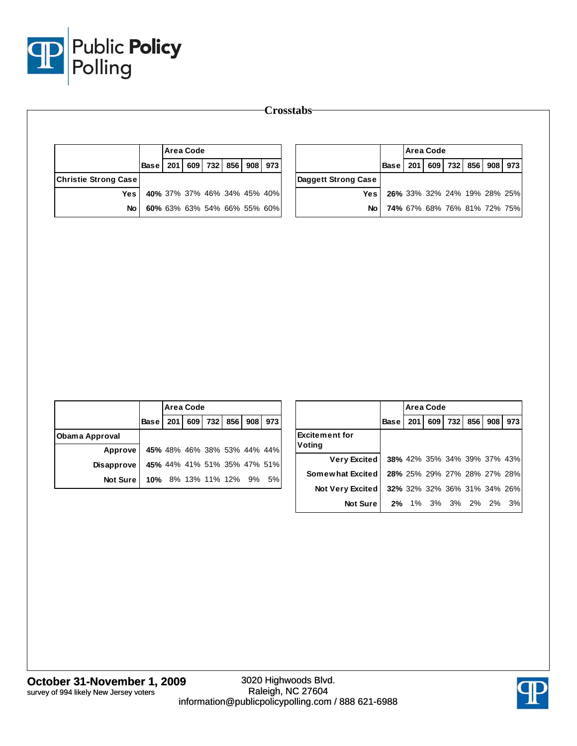

|                             |             |     | <b>Area Code</b>            |         |     |     |                             |                                                |             |     | <b>Area Code</b> |                                                            |     |     |     |
|-----------------------------|-------------|-----|-----------------------------|---------|-----|-----|-----------------------------|------------------------------------------------|-------------|-----|------------------|------------------------------------------------------------|-----|-----|-----|
|                             | <b>Base</b> | 201 | 609                         | 732     | 856 | 908 | 973                         |                                                | <b>Base</b> | 201 | 609              | 732                                                        | 856 | 908 | 973 |
| <b>Christie Strong Case</b> |             |     |                             |         |     |     |                             | Daggett Strong Case                            |             |     |                  |                                                            |     |     |     |
| <b>Yes</b>                  |             |     | 40% 37% 37% 46% 34% 45% 40% |         |     |     |                             | <b>Yes</b>                                     |             |     |                  | 26% 33% 32% 24% 19% 28% 25%                                |     |     |     |
| <b>No</b>                   |             |     | 60% 63% 63% 54% 66% 55% 60% |         |     |     |                             | <b>No</b>                                      |             |     |                  | 74% 67% 68% 76% 81% 72% 75%                                |     |     |     |
|                             |             |     |                             |         |     |     |                             |                                                |             |     |                  |                                                            |     |     |     |
|                             |             |     |                             |         |     |     |                             |                                                |             |     |                  |                                                            |     |     |     |
|                             |             |     | <b>Area Code</b>            |         |     |     |                             |                                                |             |     | Area Code        |                                                            |     |     |     |
|                             | <b>Base</b> | 201 |                             | 609 732 | 856 | 908 | 973                         |                                                | <b>Base</b> | 201 |                  | 609 732                                                    | 856 | 908 | 973 |
|                             |             |     |                             |         |     |     |                             | <b>Excitement for</b>                          |             |     |                  |                                                            |     |     |     |
| Approve                     |             |     | 45% 48% 46% 38% 53% 44% 44% |         |     |     |                             | Voting                                         |             |     |                  |                                                            |     |     |     |
| Disapprove                  |             |     |                             |         |     |     | 45% 44% 41% 51% 35% 47% 51% | <b>Very Excited</b><br><b>Somewhat Excited</b> |             |     |                  | 38% 42% 35% 34% 39% 37% 43%<br>28% 25% 29% 27% 28% 27% 28% |     |     |     |
| Not Sure                    |             |     | 10% 8% 13% 11% 12% 9% 5%    |         |     |     |                             | Not Very Excited                               |             |     |                  | 32% 32% 32% 36% 31% 34% 26%                                |     |     |     |
| <b>Obama Approval</b>       |             |     |                             |         |     |     |                             | Not Sure                                       |             |     |                  | 2% 1% 3% 3% 2% 2% 3%                                       |     |     |     |